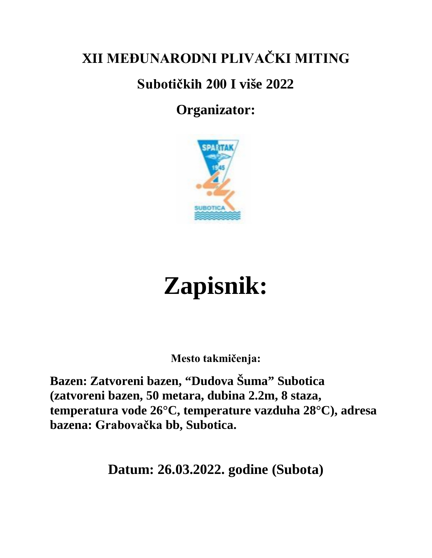# **XII MEĐUNARODNI PLIVAČKI MITING**

## **Subotičkih 200 I više 2022**

## **Organizator:**



# **Zapisnik:**

**Mesto takmičenja:**

**Bazen: Zatvoreni bazen, "Dudova Šuma" Subotica (zatvoreni bazen, 50 metara, dubina 2.2m, 8 staza, temperatura vode 26°C, temperature vazduha 28°C), adresa bazena: Grabovačka bb, Subotica.**

**Datum: 26.03.2022. godine (Subota)**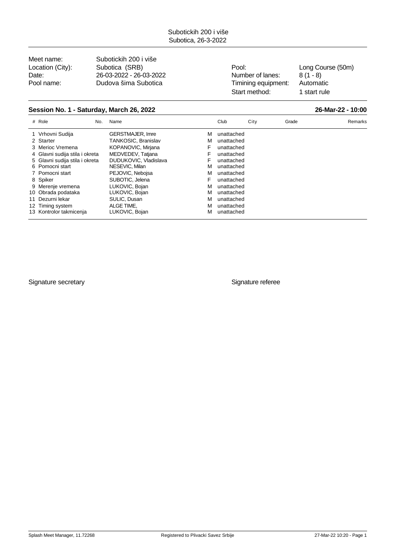Meet name: Subotickih 200 i više Location (City): Subotica (SRB) <br>
Pool: Long Course (50m) Date: 26-03-2022 - 26-03-2022 - 26-03-2022 Mumber of lanes: 8 (1 - 8)<br>
Pool name: Dudova šima Subotica Timining equipment: Automatic Pool name: Dudova šima Subotica Timining equipment:

Start method: 1 start rule

#### **Session No. 1 - Saturday, March 26, 2022 26-Mar-22 - 10:00**

| # Role                         | No. | Name                    |   | Club       | City | Grade | Remarks |
|--------------------------------|-----|-------------------------|---|------------|------|-------|---------|
| 1 Vrhovni Sudija               |     | <b>GERSTMAJER, Imre</b> | м | unattached |      |       |         |
| 2 Starter                      |     | TANKOSIC, Branislav     | м | unattached |      |       |         |
| 3 Merioc Vremena               |     | KOPANOVIC, Mirjana      | F | unattached |      |       |         |
| 4 Glavni sudija stila i okreta |     | MEDVEDEV, Tatjana       | F | unattached |      |       |         |
| 5 Glavni sudija stila i okreta |     | DUDUKOVIC, Vladislava   |   | unattached |      |       |         |
| 6 Pomocni start                |     | NESEVIC, Milan          | м | unattached |      |       |         |
| 7 Pomocni start                |     | PEJOVIC, Nebojsa        | м | unattached |      |       |         |
| 8 Spiker                       |     | SUBOTIC, Jelena         | F | unattached |      |       |         |
| 9 Merenje vremena              |     | LUKOVIC, Bojan          | м | unattached |      |       |         |
| 10 Obrada podataka             |     | LUKOVIC, Bojan          | м | unattached |      |       |         |
| 11 Dezurni lekar               |     | SULIC, Dusan            | м | unattached |      |       |         |
| 12 Timing system               |     | ALGE TIME.              | м | unattached |      |       |         |
| 13 Kontrolor takmicenja        |     | LUKOVIC, Bojan          | м | unattached |      |       |         |
|                                |     |                         |   |            |      |       |         |

Signature secretary **Signature referee**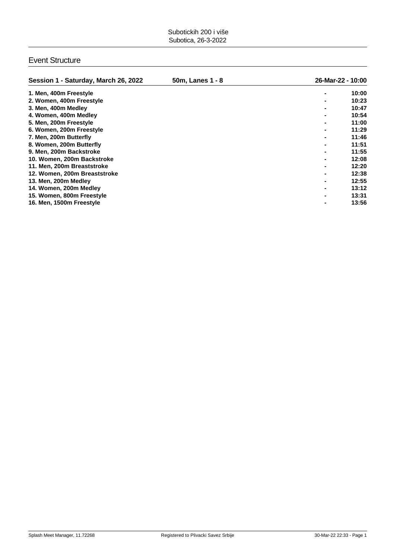#### Event Structure

| Session 1 - Saturday, March 26, 2022 | 50m, Lanes 1 - 8 | 26-Mar-22 - 10:00 |
|--------------------------------------|------------------|-------------------|
| 1. Men, 400m Freestyle               |                  | 10:00             |
| 2. Women, 400m Freestyle             |                  | 10:23             |
| 3. Men, 400m Medley                  |                  | 10:47             |
| 4. Women, 400m Medley                |                  | 10:54             |
| 5. Men, 200m Freestyle               |                  | 11:00             |
| 6. Women, 200m Freestyle             |                  | 11:29             |
| 7. Men, 200m Butterfly               |                  | 11:46             |
| 8. Women, 200m Butterfly             |                  | 11:51             |
| 9. Men, 200m Backstroke              |                  | 11:55             |
| 10. Women, 200m Backstroke           |                  | 12:08             |
| 11. Men, 200m Breaststroke           |                  | 12:20             |
| 12. Women, 200m Breaststroke         |                  | 12:38             |
| 13. Men, 200m Medley                 |                  | 12:55             |
| 14. Women, 200m Medley               |                  | 13:12             |
| 15. Women, 800m Freestyle            |                  | 13:31             |
| 16. Men, 1500m Freestyle             |                  | 13:56             |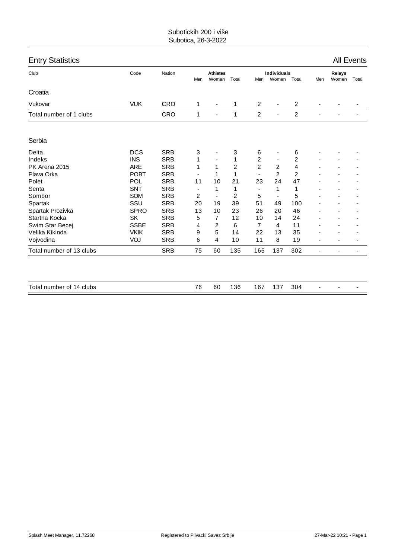| <b>Entry Statistics</b>  |             |            |                          |                          |                |                          |                              |                |                          |                        | <b>All Events</b> |
|--------------------------|-------------|------------|--------------------------|--------------------------|----------------|--------------------------|------------------------------|----------------|--------------------------|------------------------|-------------------|
| Club                     | Code        | Nation     | Men                      | <b>Athletes</b><br>Women | Total          | Men                      | <b>Individuals</b><br>Women  | Total          | Men                      | <b>Relays</b><br>Women | Total             |
| Croatia                  |             |            |                          |                          |                |                          |                              |                |                          |                        |                   |
| Vukovar                  | <b>VUK</b>  | CRO        | 1                        | $\overline{\phantom{m}}$ | 1              | 2                        | $\blacksquare$               | 2              |                          |                        |                   |
| Total number of 1 clubs  |             | <b>CRO</b> | $\mathbf{1}$             | $\blacksquare$           | $\mathbf{1}$   | $\overline{c}$           | $\blacksquare$               | $\overline{c}$ | $\blacksquare$           |                        |                   |
| Serbia                   |             |            |                          |                          |                |                          |                              |                |                          |                        |                   |
| Delta                    | <b>DCS</b>  | <b>SRB</b> | 3                        |                          | 3              | 6                        |                              | 6              |                          |                        |                   |
| Indeks                   | <b>INS</b>  | <b>SRB</b> | 1                        |                          | 1              | 2                        | ٠                            | 2              |                          |                        |                   |
| PK Arena 2015            | <b>ARE</b>  | <b>SRB</b> | 1                        | 1                        | $\overline{2}$ | $\overline{2}$           | $\overline{2}$               | 4              |                          |                        |                   |
| Plava Orka               | <b>POBT</b> | <b>SRB</b> | $\overline{\phantom{a}}$ | 1                        | 1              | $\blacksquare$           | $\overline{2}$               | 2              |                          |                        |                   |
| Polet                    | POL         | <b>SRB</b> | 11                       | 10                       | 21             | 23                       | 24                           | 47             |                          |                        |                   |
| Senta                    | <b>SNT</b>  | <b>SRB</b> | ٠                        | 1                        | 1              | $\overline{\phantom{0}}$ | 1                            | 1              |                          |                        |                   |
| Sombor                   | <b>SOM</b>  | <b>SRB</b> | 2                        | $\blacksquare$           | $\overline{2}$ | 5                        | $\qquad \qquad \blacksquare$ | 5              |                          |                        |                   |
| Spartak                  | SSU         | <b>SRB</b> | 20                       | 19                       | 39             | 51                       | 49                           | 100            |                          |                        |                   |
| Spartak Prozivka         | <b>SPRO</b> | <b>SRB</b> | 13                       | 10                       | 23             | 26                       | 20                           | 46             |                          |                        |                   |
| Startna Kocka            | <b>SK</b>   | <b>SRB</b> | 5                        | 7                        | 12             | 10                       | 14                           | 24             |                          |                        |                   |
| Swim Star Becej          | <b>SSBE</b> | <b>SRB</b> | 4                        | 2                        | 6              | 7                        | 4                            | 11             |                          |                        |                   |
| Velika Kikinda           | <b>VKIK</b> | <b>SRB</b> | 9                        | 5                        | 14             | 22                       | 13                           | 35             |                          |                        |                   |
| Vojvodina                | <b>VOJ</b>  | <b>SRB</b> | 6                        | 4                        | 10             | 11                       | 8                            | 19             |                          |                        |                   |
| Total number of 13 clubs |             | <b>SRB</b> | 75                       | 60                       | 135            | 165                      | 137                          | 302            | $\overline{\phantom{a}}$ |                        |                   |
|                          |             |            |                          |                          |                |                          |                              |                |                          |                        |                   |
| Total number of 14 clubs |             |            | 76                       | 60                       | 136            | 167                      | 137                          | 304            |                          |                        |                   |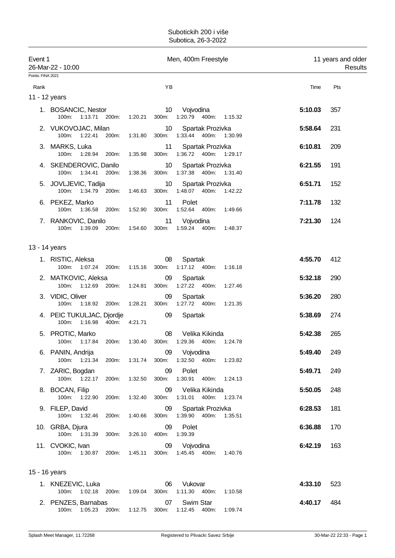| Event 1<br>26-Mar-22 - 10:00 |                                                      |         |                 | Men, 400m Freestyle                                                     | 11 years and older<br>Results |     |  |
|------------------------------|------------------------------------------------------|---------|-----------------|-------------------------------------------------------------------------|-------------------------------|-----|--|
| Points: FINA 2021            |                                                      |         |                 |                                                                         |                               |     |  |
| Rank                         |                                                      |         | ΥB              |                                                                         | Time                          | Pts |  |
| 11 - 12 years                |                                                      |         |                 |                                                                         |                               |     |  |
|                              | 1. BOSANCIC, Nestor<br>100m: 1:13.71 200m: 1:20.21   |         | 10              | Vojvodina<br>300m: 1:20.79 400m: 1:15.32                                | 5:10.03                       | 357 |  |
|                              | 2. VUKOVOJAC, Milan<br>1:22.41<br>200m:<br>$100m$ :  | 1:31.80 | 10              | Spartak Prozivka<br>300m: 1:33.44 400m: 1:30.99                         | 5:58.64                       | 231 |  |
|                              | 3. MARKS, Luka<br>100m: 1:28.94 200m:                | 1:35.98 | 11<br>300m:     | Spartak Prozivka<br>1:36.72  400m: 1:29.17                              | 6:10.81                       | 209 |  |
|                              | 4. SKENDEROVIC, Danilo<br>100m: 1:34.41 200m:        | 1:38.36 | 10 <sup>°</sup> | Spartak Prozivka<br>300m: 1:37.38 400m: 1:31.40                         | 6:21.55                       | 191 |  |
|                              | 5. JOVLJEVIC, Tadija<br>100m: 1:34.79<br>200m:       | 1:46.63 | 10              | Spartak Prozivka<br>300m: 1:48.07 400m:<br>1:42.22                      | 6:51.71                       | 152 |  |
|                              | 6. PEKEZ, Marko<br>100m: 1:36.58 200m:               | 1:52.90 | 11<br>300m:     | Polet<br>1:52.64 400m: 1:49.66                                          | 7:11.78                       | 132 |  |
|                              | 7. RANKOVIC, Danilo<br>100m: 1:39.09 200m:           | 1:54.60 | 11              | Vojvodina<br>300m: 1:59.24 400m: 1:48.37                                | 7:21.30                       | 124 |  |
| 13 - 14 years                |                                                      |         |                 |                                                                         |                               |     |  |
|                              | 1. RISTIC, Aleksa<br>100m: 1:07.24 200m:             | 1:15.16 | 08<br>300m:     | Spartak<br>1:17.12  400m:  1:16.18                                      | 4:55.70                       | 412 |  |
|                              | 2. MATKOVIC, Aleksa<br>100m:<br>1:12.69 200m:        | 1:24.81 | 09<br>300m:     | Spartak<br>1:27.22 400m:<br>1:27.46                                     | 5:32.18                       | 290 |  |
|                              | 3. VIDIC, Oliver<br>100m: 1:18.92 200m:              | 1:28.21 | 09<br>300m:     | Spartak<br>1:27.72  400m: 1:21.35                                       | 5:36.20                       | 280 |  |
|                              | 4. PEIC TUKULJAC, Djordje<br>100m:<br>1:16.98  400m: | 4:21.71 | 09              | Spartak                                                                 | 5:38.69                       | 274 |  |
|                              | 5. PROTIC, Marko<br>100m: 1:17.84 200m:              | 1:30.40 | 08              | Velika Kikinda<br>300m: 1:29.36 400m:<br>1:24.78                        | 5:42.38                       | 265 |  |
|                              | 6. PANIN, Andrija                                    |         |                 | 09 Vojvodina<br>100m: 1:21.34 200m: 1:31.74 300m: 1:32.50 400m: 1:23.82 | 5:49.40                       | 249 |  |
|                              | 7. ZARIC, Bogdan<br>100m: 1:22.17<br>200m:           | 1:32.50 | 09<br>300m:     | Polet<br>1:30.91  400m: 1:24.13                                         | 5:49.71                       | 249 |  |
|                              | 8. BOCAN, Filip<br>100m: 1:22.90<br>200m:            | 1:32.40 | 09<br>300m:     | Velika Kikinda<br>1:31.01<br>400m:<br>1:23.74                           | 5:50.05                       | 248 |  |
|                              | 9. FILEP, David<br>100m: 1:32.46<br>200m:            | 1:40.66 | 09              | Spartak Prozivka<br>300m: 1:39.90 400m: 1:35.51                         | 6:28.53                       | 181 |  |
|                              | 10. GRBA, Djura<br>100m: 1:31.39<br>300m:            | 3:26.10 | 09<br>400m:     | Polet<br>1:39.39                                                        | 6:36.88                       | 170 |  |
|                              | 11. CVOKIC, Ivan<br>100m: 1:30.87 200m:              | 1:45.11 | 09              | Vojvodina<br>300m: 1:45.45 400m: 1:40.76                                | 6:42.19                       | 163 |  |
| 15 - 16 years                |                                                      |         |                 |                                                                         |                               |     |  |
|                              | 1. KNEZEVIC, Luka<br>100m: 1:02.18<br>200m:          | 1:09.04 | 06<br>300m:     | Vukovar<br>1:11.30  400m: 1:10.58                                       | 4:33.10                       | 523 |  |
|                              | 2. PENZES, Barnabas<br>100m: 1:05.23<br>200m:        | 1:12.75 | 07<br>300m:     | Swim Star<br>1:12.45 400m:<br>1:09.74                                   | 4:40.17                       | 484 |  |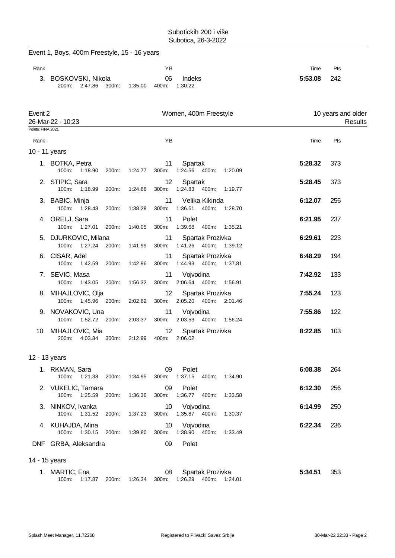Event 1, Boys, 400m Freestyle, 15 - 16 years

| Rank                         |                                               |                  | YB                       |                                                 | Time    | Pts                           |
|------------------------------|-----------------------------------------------|------------------|--------------------------|-------------------------------------------------|---------|-------------------------------|
|                              | 3. BOSKOVSKI, Nikola<br>200m:<br>2:47.86      | 300m:<br>1:35.00 | 06<br>400m:              | Indeks<br>1:30.22                               | 5:53.08 | 242                           |
| Event 2<br>Points: FINA 2021 | 26-Mar-22 - 10:23                             |                  |                          | Women, 400m Freestyle                           |         | 10 years and older<br>Results |
| Rank                         |                                               |                  | YB                       |                                                 | Time    | Pts                           |
| 10 - 11 years                |                                               |                  |                          |                                                 |         |                               |
|                              | 1. BOTKA, Petra<br>100m:<br>1:18.90           | 200m:<br>1:24.77 | 11<br>300m:              | Spartak<br>1:24.56 400m:<br>1:20.09             | 5:28.32 | 373                           |
|                              | 2. STIPIC, Sara<br>100m:<br>1:18.99 200m:     | 1:24.86          | 12<br>300m:              | Spartak<br>1:24.83 400m:<br>1:19.77             | 5:28.45 | 373                           |
|                              | 3. BABIC, Minja<br>100m: 1:28.48 200m:        | 1:38.28          | 11<br>300m:              | Velika Kikinda<br>1:36.61  400m: 1:28.70        | 6:12.07 | 256                           |
|                              | 4. ORELJ, Sara<br>100m: 1:27.01               | 200m:<br>1:40.05 | 11<br>300m:              | Polet<br>1:39.68 400m:<br>1:35.21               | 6:21.95 | 237                           |
|                              | 5. DJURKOVIC, Milana<br>1:27.24<br>100m:      | 200m:<br>1:41.99 | 11<br>300m:              | Spartak Prozivka<br>1:41.26  400m:<br>1:39.12   | 6:29.61 | 223                           |
|                              | 6. CISAR, Adel<br>100m: 1:42.59 200m:         | 1:42.96          | 11<br>300m:              | Spartak Prozivka<br>1:44.93 400m: 1:37.81       | 6:48.29 | 194                           |
|                              | 7. SEVIC, Masa<br>100m: 1:43.05 200m:         | 1:56.32          | 11<br>300m:              | Vojvodina<br>2:06.64 400m:<br>1:56.91           | 7:42.92 | 133                           |
|                              | 8. MIHAJLOVIC, Olja<br>1:45.96 200m:<br>100m: | 2:02.62          | 12<br>300m:              | Spartak Prozivka<br>2:05.20<br>400m:<br>2:01.46 | 7:55.24 | 123                           |
|                              | 9. NOVAKOVIC, Una<br>1:52.72 200m:<br>100m:   | 2:03.37          | 11<br>300m:              | Vojvodina<br>2:03.53 400m:<br>1:56.24           | 7:55.86 | 122                           |
|                              | 10. MIHAJLOVIC, Mia<br>4:03.84<br>200m:       | 300m:<br>2:12.99 | 12<br>400m:              | Spartak Prozivka<br>2:06.02                     | 8:22.85 | 103                           |
| 12 - 13 years                |                                               |                  |                          |                                                 |         |                               |
|                              | 1. RKMAN, Sara<br>100m: 1:21.38               | 200m:<br>1:34.95 | 09<br>300m:              | Polet<br>1:37.15 400m:<br>1:34.90               | 6:08.38 | 264                           |
|                              | 2. VUKELIC, Tamara<br>100m: 1:25.59           | 200m:<br>1:36.36 | 09<br>300m:              | Polet<br>1:36.77 400m:<br>1:33.58               | 6:12.30 | 256                           |
|                              | 3. NINKOV, Ivanka<br>100m: 1:31.52            | 1:37.23<br>200m: | 10 <sup>1</sup><br>300m: | Vojvodina<br>1:35.87 400m:<br>1:30.37           | 6:14.99 | 250                           |
|                              | 4. KUHAJDA, Mina<br>100m: 1:30.15             | 200m:<br>1:39.80 | 10<br>300m:              | Vojvodina<br>1:38.90  400m:<br>1:33.49          | 6:22.34 | 236                           |
|                              | DNF GRBA, Aleksandra                          |                  | 09                       | Polet                                           |         |                               |
| 14 - 15 years                |                                               |                  |                          |                                                 |         |                               |
|                              | 1. MARTIC, Ena                                |                  | 08                       | Spartak Prozivka                                | 5:34.51 | 353                           |
|                              | 100m: 1:17.87 200m:                           | 1:26.34          | 300m:                    | 1:26.29  400m: 1:24.01                          |         |                               |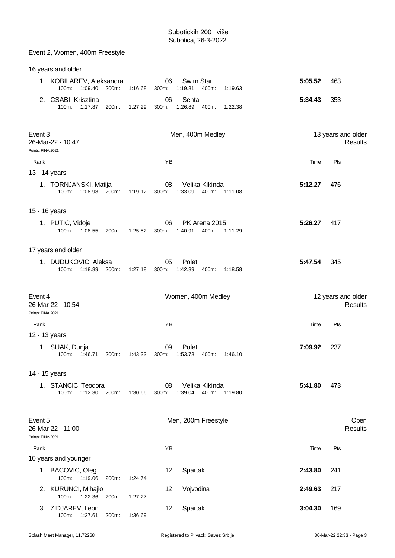| Event 2, Women, 400m Freestyle                                                                                                |         |                               |
|-------------------------------------------------------------------------------------------------------------------------------|---------|-------------------------------|
| 16 years and older                                                                                                            |         |                               |
| Swim Star<br>1. KOBILAREV, Aleksandra<br>06<br>1:09.40<br>200m:<br>1:16.68<br>1:19.81<br>400m:<br>100m:<br>300m:<br>1:19.63   | 5:05.52 | 463                           |
| Senta<br>2. CSABI, Krisztina<br>06<br>100m:<br>1:17.87<br>200m:<br>1:27.29<br>1:26.89<br>400m:<br>1:22.38<br>300m:            | 5:34.43 | 353                           |
| Men, 400m Medley<br>Event 3<br>26-Mar-22 - 10:47                                                                              |         | 13 years and older<br>Results |
| Points: FINA 2021<br>Rank<br>ΥB                                                                                               | Time    | Pts                           |
| 13 - 14 years                                                                                                                 |         |                               |
| 1. TORNJANSKI, Matija<br>Velika Kikinda<br>08<br>1:08.98<br>1:19.12<br>1:33.09<br>400m:<br>100m:<br>200m:<br>300m:<br>1:11.08 | 5:12.27 | 476                           |
| 15 - 16 years                                                                                                                 |         |                               |
| 1. PUTIC, Vidoje<br>PK Arena 2015<br>06<br>$100m$ :<br>1:08.55<br>1:25.52<br>1:40.91<br>400m:<br>200m:<br>300m:<br>1:11.29    | 5:26.27 | 417                           |
| 17 years and older                                                                                                            |         |                               |
| 1. DUDUKOVIC, Aleksa<br>05<br>Polet<br>100m:<br>1:18.89 200m:<br>1:27.18<br>1:42.89<br>400m:<br>300m:<br>1:18.58              | 5:47.54 | 345                           |
| Event 4<br>Women, 400m Medley<br>26-Mar-22 - 10:54                                                                            |         | 12 years and older<br>Results |
| Points: FINA 2021                                                                                                             |         |                               |
| YB<br>Rank                                                                                                                    | Time    | Pts                           |
| 12 - 13 years                                                                                                                 |         |                               |
| 1. SIJAK, Dunja<br>09<br>Polet<br>1:53.78<br>100m:<br>1:46.71<br>200m:<br>1:43.33<br>300m:<br>400m:<br>1:46.10                | 7:09.92 | 237                           |
| 14 - 15 years                                                                                                                 |         |                               |
| 1. STANCIC, Teodora<br>Velika Kikinda<br>08<br>100m:<br>1:12.30 200m:<br>1:39.04<br>400m:<br>1:30.66<br>300m:<br>1:19.80      | 5:41.80 | 473                           |
| Event 5<br>Men, 200m Freestyle<br>26-Mar-22 - 11:00<br>Points: FINA 2021                                                      |         | Open<br>Results               |
| Rank<br>ΥB                                                                                                                    | Time    | Pts                           |
| 10 years and younger                                                                                                          |         |                               |
| 1. BACOVIC, Oleg<br>12<br>Spartak<br>1:19.06<br>100m:<br>1:24.74<br>200m:                                                     | 2:43.80 | 241                           |
| 2. KURUNCI, Mihajlo<br>12<br>Vojvodina<br>100m:<br>1:22.36<br>200m:<br>1:27.27                                                | 2:49.63 | 217                           |
| Spartak<br>3. ZIDJAREV, Leon<br>12                                                                                            | 3:04.30 | 169                           |

100m: 1:27.61 200m: 1:36.69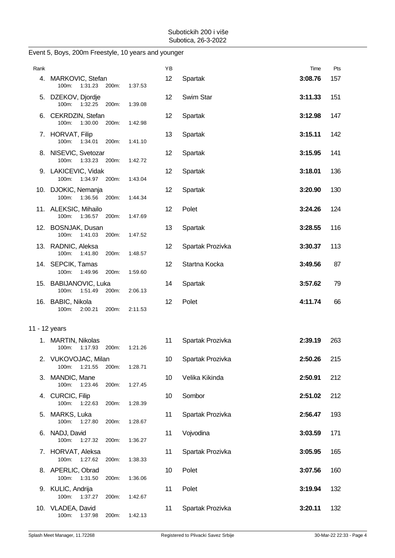| Rank          |                                                |       |         | YB              |                  | Time    | Pts |
|---------------|------------------------------------------------|-------|---------|-----------------|------------------|---------|-----|
|               | 4. MARKOVIC, Stefan<br>100m: 1:31.23           | 200m: | 1:37.53 | 12              | Spartak          | 3:08.76 | 157 |
|               | 5. DZEKOV, Djordje<br>100m:<br>1:32.25         | 200m: | 1:39.08 | 12              | Swim Star        | 3:11.33 | 151 |
|               | 6. CEKRDZIN, Stefan<br>100m: 1:30.00           | 200m: | 1:42.98 | 12              | Spartak          | 3:12.98 | 147 |
|               | 7. HORVAT, Filip<br>100m: 1:34.01              | 200m: | 1:41.10 | 13              | Spartak          | 3:15.11 | 142 |
|               | 8. NISEVIC, Svetozar<br>100m:<br>1:33.23 200m: |       | 1:42.72 | 12              | Spartak          | 3:15.95 | 141 |
|               | 9. LAKICEVIC, Vidak<br>100m: 1:34.97 200m:     |       | 1:43.04 | 12              | Spartak          | 3:18.01 | 136 |
|               | 10. DJOKIC, Nemanja<br>100m: 1:36.56           | 200m: | 1:44.34 | 12              | Spartak          | 3:20.90 | 130 |
|               | 11. ALEKSIC, Mihailo<br>100m:<br>1:36.57       | 200m: | 1:47.69 | 12              | Polet            | 3:24.26 | 124 |
|               | 12. BOSNJAK, Dusan<br>100m: 1:41.03            | 200m: | 1:47.52 | 13              | Spartak          | 3:28.55 | 116 |
|               | 13. RADNIC, Aleksa<br>100m:<br>1:41.80         | 200m: | 1:48.57 | 12              | Spartak Prozivka | 3:30.37 | 113 |
|               | 14. SEPCIK, Tamas<br>100m:<br>1:49.96          | 200m: | 1:59.60 | 12              | Startna Kocka    | 3:49.56 | 87  |
|               | 15. BABIJANOVIC, Luka<br>100m: 1:51.49         | 200m: | 2:06.13 | 14              | Spartak          | 3:57.62 | 79  |
|               | 16. BABIC, Nikola<br>2:00.21<br>100m:          | 200m: | 2:11.53 | 12              | Polet            | 4:11.74 | 66  |
|               |                                                |       |         |                 |                  |         |     |
| 11 - 12 years |                                                |       |         |                 |                  |         |     |
|               | 1. MARTIN, Nikolas<br>1:17.93<br>100m:         | 200m: | 1:21.26 | 11              | Spartak Prozivka | 2:39.19 | 263 |
|               | 2. VUKOVOJAC, Milan<br>100m:<br>1:21.55        | 200m: | 1:28.71 | 10 <sup>°</sup> | Spartak Prozivka | 2:50.26 | 215 |
|               | 3. MANDIC, Mane<br>100m:<br>1:23.46            | 200m: | 1:27.45 | 10              | Velika Kikinda   | 2:50.91 | 212 |
| 4.            | <b>CURCIC, Filip</b><br>100m:<br>1:22.63       | 200m: | 1:28.39 | 10              | Sombor           | 2:51.02 | 212 |
|               | 5. MARKS, Luka<br>100m:<br>1:27.80             | 200m: | 1:28.67 | 11              | Spartak Prozivka | 2:56.47 | 193 |
|               | 6. NADJ, David<br>100m:<br>1:27.32             | 200m: | 1:36.27 | 11              | Vojvodina        | 3:03.59 | 171 |
|               | 7. HORVAT, Aleksa<br>100m: 1:27.62             | 200m: | 1:38.33 | 11              | Spartak Prozivka | 3:05.95 | 165 |
|               | 8. APERLIC, Obrad<br>100m:<br>1:31.50          | 200m: | 1:36.06 | 10              | Polet            | 3:07.56 | 160 |
|               | 9. KULIC, Andrija<br>100m:<br>1:37.27          | 200m: | 1:42.67 | 11              | Polet            | 3:19.94 | 132 |
|               | 10. VLADEA, David<br>100m:<br>1:37.98          | 200m: | 1:42.13 | 11              | Spartak Prozivka | 3:20.11 | 132 |

#### Event 5, Boys, 200m Freestyle, 10 years and younger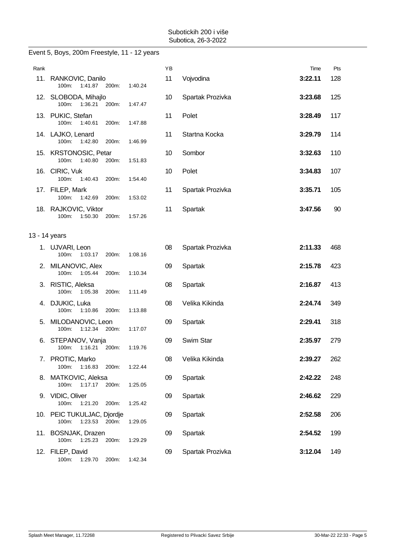|               | Event 5, Boys, 200m Freestyle, 11 - 12 years            |         |    |                  |         |     |
|---------------|---------------------------------------------------------|---------|----|------------------|---------|-----|
| Rank          |                                                         |         | ΥB |                  | Time    | Pts |
|               | 11. RANKOVIC, Danilo<br>1:41.87 200m:<br>100m:          | 1:40.24 | 11 | Vojvodina        | 3:22.11 | 128 |
|               | 12. SLOBODA, Mihajlo<br>100m:<br>1:36.21<br>200m:       | 1:47.47 | 10 | Spartak Prozivka | 3:23.68 | 125 |
|               | 13. PUKIC, Stefan<br>100m:<br>1:40.61<br>200m:          | 1:47.88 | 11 | Polet            | 3:28.49 | 117 |
|               | 14. LAJKO, Lenard<br>1:42.80<br>100m:<br>200m:          | 1:46.99 | 11 | Startna Kocka    | 3:29.79 | 114 |
|               | 15. KRSTONOSIC, Petar<br>100m:<br>1:40.80<br>200m:      | 1:51.83 | 10 | Sombor           | 3:32.63 | 110 |
|               | 16. CIRIC, Vuk<br>100m:<br>1:40.43<br>200m:             | 1:54.40 | 10 | Polet            | 3:34.83 | 107 |
|               | 17. FILEP, Mark<br>100m: 1:42.69<br>200m:               | 1:53.02 | 11 | Spartak Prozivka | 3:35.71 | 105 |
|               | 18. RAJKOVIC, Viktor<br>100m:<br>1:50.30<br>200m:       | 1:57.26 | 11 | Spartak          | 3:47.56 | 90  |
| 13 - 14 years |                                                         |         |    |                  |         |     |
|               | 1. UJVARI, Leon<br>100m:<br>1:03.17<br>200m:            | 1:08.16 | 08 | Spartak Prozivka | 2:11.33 | 468 |
|               | 2. MILANOVIC, Alex<br>1:05.44<br>100m:<br>200m:         | 1:10.34 | 09 | Spartak          | 2:15.78 | 423 |
|               | 3. RISTIC, Aleksa<br>100m:<br>1:05.38<br>200m:          | 1:11.49 | 08 | Spartak          | 2:16.87 | 413 |
|               | 4. DJUKIC, Luka<br>100m:<br>1:10.86<br>200m:            | 1:13.88 | 08 | Velika Kikinda   | 2:24.74 | 349 |
|               | 5. MILODANOVIC, Leon<br>1:12.34<br>100m:<br>200m:       | 1:17.07 | 09 | Spartak          | 2:29.41 | 318 |
|               | 6. STEPANOV, Vanja<br>100m:<br>1:16.21<br>200m:         | 1:19.76 | 09 | Swim Star        | 2:35.97 | 279 |
|               | 7. PROTIC, Marko<br>100m:<br>1:16.83<br>200m:           | 1:22.44 | 08 | Velika Kikinda   | 2:39.27 | 262 |
|               | 8. MATKOVIC, Aleksa<br>100m: 1:17.17<br>200m:           | 1:25.05 | 09 | Spartak          | 2:42.22 | 248 |
|               | 9. VIDIC, Oliver<br>100m:<br>1:21.20<br>200m:           | 1:25.42 | 09 | Spartak          | 2:46.62 | 229 |
|               | 10. PEIC TUKULJAC, Djordje<br>1:23.53<br>100m:<br>200m: | 1:29.05 | 09 | Spartak          | 2:52.58 | 206 |
|               | 11. BOSNJAK, Drazen<br>100m: 1:25.23<br>200m:           | 1:29.29 | 09 | Spartak          | 2:54.52 | 199 |
|               | 12. FILEP, David<br>100m:<br>1:29.70<br>200m:           | 1:42.34 | 09 | Spartak Prozivka | 3:12.04 | 149 |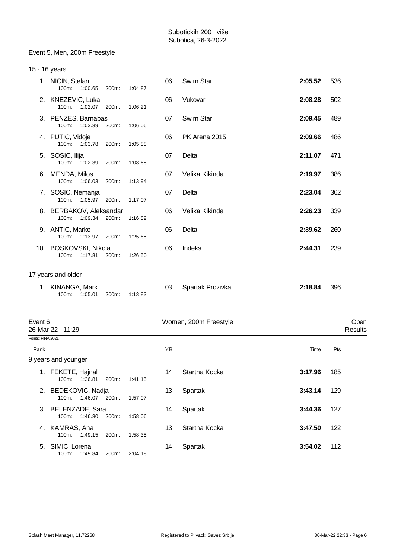#### Event 5, Men, 200m Freestyle

| 15 - 16 years     |                                             |       |               |                       |         |                 |
|-------------------|---------------------------------------------|-------|---------------|-----------------------|---------|-----------------|
|                   | 1. NICIN, Stefan<br>100m: 1:00.65           | 200m: | 06<br>1:04.87 | Swim Star             | 2:05.52 | 536             |
|                   | 2. KNEZEVIC, Luka<br>100m:<br>1:02.07       | 200m: | 06<br>1:06.21 | Vukovar               | 2:08.28 | 502             |
|                   | 3. PENZES, Barnabas<br>100m:<br>1:03.39     | 200m: | 07<br>1:06.06 | Swim Star             | 2:09.45 | 489             |
|                   | 4. PUTIC, Vidoje<br>100m: 1:03.78           | 200m: | 06<br>1:05.88 | PK Arena 2015         | 2:09.66 | 486             |
|                   | 5. SOSIC, Ilija<br>100m:<br>1:02.39         | 200m: | 07<br>1:08.68 | Delta                 | 2:11.07 | 471             |
|                   | 6. MENDA, Milos<br>100m:<br>1:06.03         | 200m: | 07<br>1:13.94 | Velika Kikinda        | 2:19.97 | 386             |
|                   | 7. SOSIC, Nemanja<br>100m: 1:05.97          | 200m: | 07<br>1:17.07 | Delta                 | 2:23.04 | 362             |
|                   | 8. BERBAKOV, Aleksandar<br>1:09.34<br>100m: | 200m: | 06<br>1:16.89 | Velika Kikinda        | 2:26.23 | 339             |
|                   | 9. ANTIC, Marko<br>100m:<br>1:13.97 200m:   |       | 06<br>1:25.65 | Delta                 | 2:39.62 | 260             |
|                   | 10. BOSKOVSKI, Nikola<br>1:17.81<br>100m:   | 200m: | 06<br>1:26.50 | Indeks                | 2:44.31 | 239             |
|                   | 17 years and older                          |       |               |                       |         |                 |
|                   | 1. KINANGA, Mark<br>100m: 1:05.01           | 200m: | 03<br>1:13.83 | Spartak Prozivka      | 2:18.84 | 396             |
| Event 6           | 26-Mar-22 - 11:29                           |       |               | Women, 200m Freestyle |         | Open<br>Results |
| Points: FINA 2021 |                                             |       |               |                       |         |                 |
| Rank              |                                             |       | YB            |                       | Time    | Pts             |
|                   | 9 years and younger                         |       |               |                       |         |                 |
|                   | 1. FEKETE, Hajnal<br>1:36.81<br>100m:       | 200m: | 14<br>1:41.15 | Startna Kocka         | 3:17.96 | 185             |
|                   | 2. BEDEKOVIC, Nadja<br>100m:<br>1:46.07     | 200m: | 13<br>1:57.07 | Spartak               | 3:43.14 | 129             |
|                   | 3. BELENZADE, Sara<br>1:46.30<br>100m:      | 200m: | 14<br>1:58.06 | Spartak               | 3:44.36 | 127             |
|                   | 4. KAMRAS, Ana<br>100m: 1:49.15             | 200m: | 13<br>1:58.35 | Startna Kocka         | 3:47.50 | 122             |
|                   | 5. SIMIC, Lorena<br>100m:<br>1:49.84        | 200m: | 14<br>2:04.18 | Spartak               | 3:54.02 | 112             |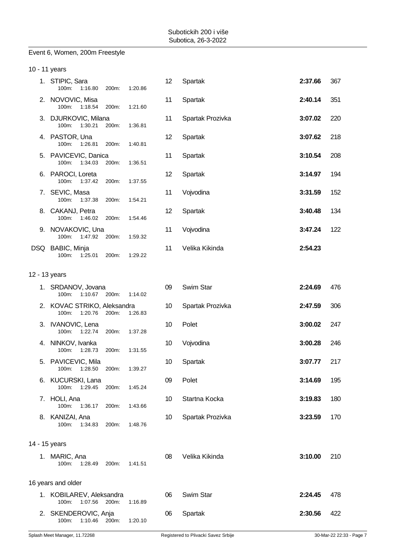#### Event 6, Women, 200m Freestyle

| 10 - 11 years |                                              |       |               |    |                  |         |     |
|---------------|----------------------------------------------|-------|---------------|----|------------------|---------|-----|
|               | 1. STIPIC, Sara<br>100m:<br>1:16.80          | 200m: | 12<br>1:20.86 |    | Spartak          | 2:37.66 | 367 |
|               | 2. NOVOVIC, Misa<br>100m: 1:18.54            | 200m: | 11<br>1:21.60 |    | Spartak          | 2:40.14 | 351 |
|               | 3. DJURKOVIC, Milana<br>100m: 1:30.21        | 200m: | 11<br>1:36.81 |    | Spartak Prozivka | 3:07.02 | 220 |
|               | 4. PASTOR, Una<br>100m: 1:26.81              | 200m: | 12<br>1:40.81 |    | Spartak          | 3:07.62 | 218 |
|               | 5. PAVICEVIC, Danica<br>100m: 1:34.03        | 200m: | 11<br>1:36.51 |    | Spartak          | 3:10.54 | 208 |
|               | 6. PAROCI, Loreta<br>100m: 1:37.42           | 200m: | 12<br>1:37.55 |    | Spartak          | 3:14.97 | 194 |
|               | 7. SEVIC, Masa<br>100m:<br>1:37.38           | 200m: | 11<br>1:54.21 |    | Vojvodina        | 3:31.59 | 152 |
|               | 8. CAKANJ, Petra<br>100m: 1:46.02            | 200m: | 12<br>1:54.46 |    | Spartak          | 3:40.48 | 134 |
|               | 9. NOVAKOVIC, Una<br>100m: 1:47.92 200m:     |       | 11<br>1:59.32 |    | Vojvodina        | 3:47.24 | 122 |
|               | DSQ BABIC, Minja<br>100m:<br>1:25.01         | 200m: | 11<br>1:29.22 |    | Velika Kikinda   | 2:54.23 |     |
| 12 - 13 years |                                              |       |               |    |                  |         |     |
|               | 1. SRDANOV, Jovana<br>100m: 1:10.67 200m:    |       | 09<br>1:14.02 |    | Swim Star        | 2:24.69 | 476 |
|               | 2. KOVAC STRIKO, Aleksandra<br>100m: 1:20.76 | 200m: | 10<br>1:26.83 |    | Spartak Prozivka | 2:47.59 | 306 |
|               | 3. IVANOVIC, Lena<br>100m: 1:22.74           | 200m: | 10<br>1:37.28 |    | Polet            | 3:00.02 | 247 |
|               | 4. NINKOV, Ivanka<br>100m: 1:28.73           | 200m: | 10<br>1:31.55 |    | Vojvodina        | 3:00.28 | 246 |
|               | 5. PAVICEVIC, Mila<br>1:28.50<br>100m:       | 200m: | 1:39.27       | 10 | Spartak          | 3:07.77 | 217 |
|               | 6. KUCURSKI, Lana<br>100m:<br>1:29.45        | 200m: | 09<br>1:45.24 |    | Polet            | 3:14.69 | 195 |
|               | 7. HOLI, Ana<br>100m:<br>1:36.17             | 200m: | 10<br>1:43.66 |    | Startna Kocka    | 3:19.83 | 180 |
|               | 8. KANIZAI, Ana<br>100m:<br>1:34.83          | 200m: | 10<br>1:48.76 |    | Spartak Prozivka | 3:23.59 | 170 |
| 14 - 15 years |                                              |       |               |    |                  |         |     |
|               | 1. MARIC, Ana<br>100m:<br>1.28.49            | 200m: | 08<br>1:41.51 |    | Velika Kikinda   | 3:10.00 | 210 |
|               | 16 years and older                           |       |               |    |                  |         |     |
|               | 1. KOBILAREV, Aleksandra<br>1:07.56<br>100m: | 200m: | 06<br>1:16.89 |    | Swim Star        | 2:24.45 | 478 |
|               | 2. SKENDEROVIC, Anja<br>100m: 1:10.46 200m:  |       | 06<br>1:20.10 |    | Spartak          | 2:30.56 | 422 |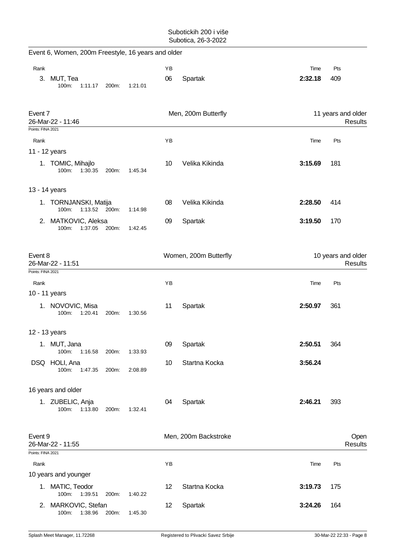|                              | Event 6, Women, 200m Freestyle, 16 years and older |               |       |                       |          |                                      |                 |                                      |
|------------------------------|----------------------------------------------------|---------------|-------|-----------------------|----------|--------------------------------------|-----------------|--------------------------------------|
| Rank<br>3.                   | MUT, Tea<br>100m:                                  | 1:11.17       | 200m: | 1:21.01               | ΥB<br>06 | Spartak                              | Time<br>2:32.18 | Pts<br>409                           |
| Event 7<br>Points: FINA 2021 | 26-Mar-22 - 11:46                                  |               |       |                       |          | Men, 200m Butterfly                  |                 | 11 years and older<br><b>Results</b> |
| Rank                         |                                                    |               |       |                       | YB       |                                      | Time            | Pts                                  |
| 11 - 12 years                |                                                    |               |       |                       |          |                                      |                 |                                      |
|                              | 1. TOMIC, Mihajlo<br>100m:                         | 1:30.35       | 200m: | 1:45.34               | 10       | Velika Kikinda                       | 3:15.69         | 181                                  |
| 13 - 14 years                |                                                    |               |       |                       |          |                                      |                 |                                      |
|                              | 1. TORNJANSKI, Matija<br>100m:                     | 1:13.52 200m: |       | 1:14.98               | 08       | Velika Kikinda                       | 2:28.50         | 414                                  |
|                              | 2. MATKOVIC, Aleksa<br>100m:                       | 1:37.05       | 200m: | 1:42.45               | 09       | Spartak                              | 3:19.50         | 170                                  |
| Event 8<br>26-Mar-22 - 11:51 |                                                    |               |       | Women, 200m Butterfly |          | 10 years and older<br><b>Results</b> |                 |                                      |
| Points: FINA 2021            |                                                    |               |       |                       |          |                                      |                 |                                      |
| Rank                         | 10 - 11 years                                      |               |       |                       | YB       |                                      | Time            | Pts                                  |
|                              | 1. NOVOVIC, Misa<br>100m:                          | 1:20.41       | 200m: | 1:30.56               | 11       | Spartak                              | 2:50.97         | 361                                  |
| 12 - 13 years                |                                                    |               |       |                       |          |                                      |                 |                                      |
|                              | 1. MUT, Jana<br>100m:                              | 1:16.58       | 200m: | 1:33.93               | 09       | Spartak                              | 2:50.51         | 364                                  |
|                              | DSQ HOLI, Ana<br>100m:                             | 1:47.35       | 200m: | 2:08.89               | 10       | Startna Kocka                        | 3:56.24         |                                      |
|                              | 16 years and older                                 |               |       |                       |          |                                      |                 |                                      |
|                              | 1. ZUBELIC, Anja<br>100m:                          | 1:13.80       | 200m: | 1:32.41               | 04       | Spartak                              | 2:46.21         | 393                                  |
| Event 9                      | 26-Mar-22 - 11:55                                  |               |       |                       |          | Men, 200m Backstroke                 |                 | Open<br><b>Results</b>               |
| Points: FINA 2021            |                                                    |               |       |                       |          |                                      |                 |                                      |
| Rank                         |                                                    |               |       |                       | ΥB       |                                      | Time            | Pts                                  |
|                              | 10 years and younger                               |               |       |                       |          |                                      |                 |                                      |
|                              | 1. MATIC, Teodor<br>100m:                          | 1:39.51       | 200m: | 1:40.22               | 12       | Startna Kocka                        | 3:19.73         | 175                                  |
|                              | 2. MARKOVIC, Stefan<br>100m:                       | 1:38.96       | 200m: | 1:45.30               | 12       | Spartak                              | 3:24.26         | 164                                  |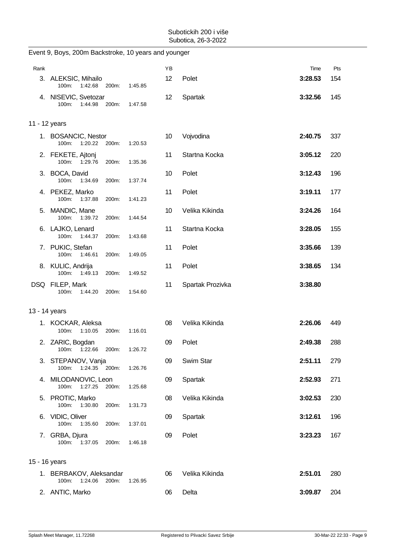|               | Event 9, Boys, 200m Backstroke, 10 years and younger |       |         |    |                  |         |     |
|---------------|------------------------------------------------------|-------|---------|----|------------------|---------|-----|
| Rank          |                                                      |       |         | YB |                  | Time    | Pts |
|               | 3. ALEKSIC, Mihailo<br>100m: 1:42.68                 | 200m: | 1:45.85 | 12 | Polet            | 3:28.53 | 154 |
|               | 4. NISEVIC, Svetozar<br>100m:<br>1:44.98             | 200m: | 1:47.58 | 12 | Spartak          | 3:32.56 | 145 |
| 11 - 12 years |                                                      |       |         |    |                  |         |     |
|               | 1. BOSANCIC, Nestor<br>1:20.22<br>$100m$ :           | 200m: | 1:20.53 | 10 | Vojvodina        | 2:40.75 | 337 |
|               | 2. FEKETE, Ajtonj<br>100m: 1:29.76                   | 200m: | 1:35.36 | 11 | Startna Kocka    | 3:05.12 | 220 |
|               | 3. BOCA, David<br>100m: 1:34.69                      | 200m: | 1:37.74 | 10 | Polet            | 3:12.43 | 196 |
|               | 4. PEKEZ, Marko<br>100m:<br>1:37.88                  | 200m: | 1:41.23 | 11 | Polet            | 3:19.11 | 177 |
|               | 5. MANDIC, Mane<br>100m: 1:39.72                     | 200m: | 1:44.54 | 10 | Velika Kikinda   | 3:24.26 | 164 |
|               | 6. LAJKO, Lenard<br>100m:<br>1:44.37                 | 200m: | 1:43.68 | 11 | Startna Kocka    | 3:28.05 | 155 |
|               | 7. PUKIC, Stefan<br>100m:<br>1.46.61                 | 200m: | 1:49.05 | 11 | Polet            | 3:35.66 | 139 |
|               | 8. KULIC, Andrija<br>100m: 1:49.13                   | 200m: | 1:49.52 | 11 | Polet            | 3:38.65 | 134 |
|               | DSQ FILEP, Mark<br>100m:<br>1:44.20                  | 200m: | 1:54.60 | 11 | Spartak Prozivka | 3:38.80 |     |
|               | 13 - 14 years                                        |       |         |    |                  |         |     |
|               | 1. KOCKAR, Aleksa<br>1:10.05<br>100m:                | 200m: | 1:16.01 | 08 | Velika Kikinda   | 2:26.06 | 449 |
|               | 2. ZARIC, Bogdan<br>1:22.66<br>100m:                 | 200m: | 1:26.72 | 09 | Polet            | 2:49.38 | 288 |
|               | 3. STEPANOV, Vanja<br>100m: 1:24.35 200m:            |       | 1:26.76 | 09 | Swim Star        | 2:51.11 | 279 |
|               | 4. MILODANOVIC, Leon<br>100m:<br>1:27.25             | 200m: | 1:25.68 | 09 | Spartak          | 2:52.93 | 271 |
|               | 5. PROTIC, Marko<br>100m:<br>1:30.80                 | 200m: | 1:31.73 | 08 | Velika Kikinda   | 3:02.53 | 230 |
|               | 6. VIDIC, Oliver<br>100m:<br>1:35.60                 | 200m: | 1:37.01 | 09 | Spartak          | 3:12.61 | 196 |
|               | 7. GRBA, Djura<br>100m:<br>1:37.05                   | 200m: | 1:46.18 | 09 | Polet            | 3:23.23 | 167 |
| 15 - 16 years |                                                      |       |         |    |                  |         |     |
|               | 1. BERBAKOV, Aleksandar<br>1:24.06<br>100m:          | 200m: | 1:26.95 | 06 | Velika Kikinda   | 2:51.01 | 280 |
|               | 2. ANTIC, Marko                                      |       |         | 06 | Delta            | 3:09.87 | 204 |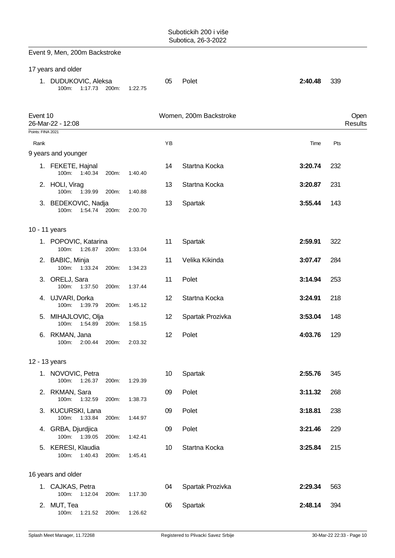|                   | Event 9, Men, 200m Backstroke                 |       |         |                 |                        |         |                 |
|-------------------|-----------------------------------------------|-------|---------|-----------------|------------------------|---------|-----------------|
|                   | 17 years and older                            |       |         |                 |                        |         |                 |
|                   | 1. DUDUKOVIC, Aleksa<br>1:17.73<br>100m:      | 200m: | 1:22.75 | 05              | Polet                  | 2:40.48 | 339             |
| Event 10          | 26-Mar-22 - 12:08                             |       |         |                 | Women, 200m Backstroke |         | Open<br>Results |
| Points: FINA 2021 |                                               |       |         | YB              |                        |         | Pts             |
| Rank              | 9 years and younger                           |       |         |                 |                        | Time    |                 |
|                   | 1. FEKETE, Hajnal<br>100m:<br>1:40.34         | 200m: | 1:40.40 | 14              | Startna Kocka          | 3:20.74 | 232             |
|                   | 2. HOLI, Virag<br>100m:<br>1:39.99            | 200m: | 1:40.88 | 13              | Startna Kocka          | 3:20.87 | 231             |
|                   | 3. BEDEKOVIC, Nadja<br>100m:<br>1:54.74 200m: |       | 2:00.70 | 13              | Spartak                | 3:55.44 | 143             |
|                   | 10 - 11 years                                 |       |         |                 |                        |         |                 |
|                   | 1. POPOVIC, Katarina<br>100m:<br>1:26.87      | 200m: | 1:33.04 | 11              | Spartak                | 2:59.91 | 322             |
|                   | 2. BABIC, Minja<br>100m:<br>1:33.24           | 200m: | 1:34.23 | 11              | Velika Kikinda         | 3:07.47 | 284             |
|                   | 3. ORELJ, Sara<br>100m:<br>1:37.50            | 200m: | 1:37.44 | 11              | Polet                  | 3:14.94 | 253             |
|                   | 4. UJVARI, Dorka<br>$100m$ :<br>1:39.79       | 200m: | 1:45.12 | 12 <sup>2</sup> | Startna Kocka          | 3:24.91 | 218             |
|                   | 5. MIHAJLOVIC, Olja<br>1:54.89<br>100m:       | 200m: | 1:58.15 | 12              | Spartak Prozivka       | 3:53.04 | 148             |
|                   | 6. RKMAN, Jana<br>100m: 2:00.44               | 200m: | 2:03.32 | 12              | Polet                  | 4:03.76 | 129             |
|                   | 12 - 13 years                                 |       |         |                 |                        |         |                 |
|                   | 1. NOVOVIC, Petra<br>100m:<br>1:26.37         | 200m: | 1:29.39 | 10 <sup>°</sup> | Spartak                | 2:55.76 | 345             |
|                   | 2. RKMAN, Sara<br>100m:<br>1:32.59            | 200m: | 1:38.73 | 09              | Polet                  | 3:11.32 | 268             |
|                   | 3. KUCURSKI, Lana<br>100m:<br>1:33.84         | 200m: | 1:44.97 | 09              | Polet                  | 3:18.81 | 238             |
|                   | 4. GRBA, Djurdjica<br>100m: 1:39.05           | 200m: | 1:42.41 | 09              | Polet                  | 3:21.46 | 229             |
|                   | 5. KERESI, Klaudia<br>100m:<br>1:40.43        | 200m: | 1:45.41 | 10              | Startna Kocka          | 3:25.84 | 215             |
|                   | 16 years and older                            |       |         |                 |                        |         |                 |
|                   | 1. CAJKAS, Petra<br>100m:<br>1:12.04          | 200m: | 1:17.30 | 04              | Spartak Prozivka       | 2:29.34 | 563             |
|                   | 2. MUT, Tea<br>100m:<br>1:21.52               | 200m: | 1:26.62 | 06              | Spartak                | 2:48.14 | 394             |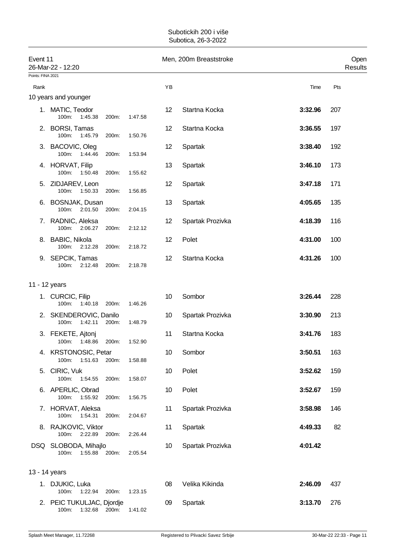| Event 11                  | 26-Mar-22 - 12:20                                   |       |         |    | Men, 200m Breaststroke |         | Open<br>Results |
|---------------------------|-----------------------------------------------------|-------|---------|----|------------------------|---------|-----------------|
| Points: FINA 2021<br>Rank |                                                     |       |         | YB |                        | Time    | Pts             |
|                           | 10 years and younger                                |       |         |    |                        |         |                 |
|                           | 1. MATIC, Teodor<br>$100m$ :<br>1:45.38             | 200m: | 1:47.58 | 12 | Startna Kocka          | 3:32.96 | 207             |
|                           | 2. BORSI, Tamas<br>100m:<br>1:45.79                 | 200m: | 1:50.76 | 12 | Startna Kocka          | 3:36.55 | 197             |
|                           | 3. BACOVIC, Oleg<br>100m: 1:44.46                   | 200m: | 1:53.94 | 12 | Spartak                | 3:38.40 | 192             |
|                           | 4. HORVAT, Filip<br>100m: 1:50.48                   | 200m: | 1:55.62 | 13 | Spartak                | 3:46.10 | 173             |
|                           | 5. ZIDJAREV, Leon<br>100m: 1:50.33                  | 200m: | 1:56.85 | 12 | Spartak                | 3:47.18 | 171             |
|                           | 6. BOSNJAK, Dusan<br>100m:<br>2:01.50               | 200m: | 2:04.15 | 13 | Spartak                | 4:05.65 | 135             |
|                           | 7. RADNIC, Aleksa<br>100m: 2:06.27                  | 200m: | 2:12.12 | 12 | Spartak Prozivka       | 4:18.39 | 116             |
|                           | 8. BABIC, Nikola<br>100m: 2:12.28                   | 200m: | 2:18.72 | 12 | Polet                  | 4:31.00 | 100             |
|                           | 9. SEPCIK, Tamas<br>100m:<br>2:12.48                | 200m: | 2:18.78 | 12 | Startna Kocka          | 4:31.26 | 100             |
| 11 - 12 years             |                                                     |       |         |    |                        |         |                 |
|                           | 1. CURCIC, Filip<br>100m:<br>1:40.18                | 200m: | 1:46.26 | 10 | Sombor                 | 3:26.44 | 228             |
|                           | 2. SKENDEROVIC, Danilo<br>1:42.11<br>100m:          | 200m: | 1:48.79 | 10 | Spartak Prozivka       | 3:30.90 | 213             |
|                           | 3. FEKETE, Ajtonj<br>100m:<br>1:48.86               | 200m: | 1:52.90 | 11 | Startna Kocka          | 3:41.76 | 183             |
|                           | 4. KRSTONOSIC, Petar<br>100m: 1:51.63               | 200m: | 1:58.88 | 10 | Sombor                 | 3:50.51 | 163             |
|                           | 5. CIRIC, Vuk<br>100m: 1:54.55                      | 200m: | 1:58.07 | 10 | Polet                  | 3:52.62 | 159             |
|                           | 6. APERLIC, Obrad<br>100m: 1:55.92                  | 200m: | 1:56.75 | 10 | Polet                  | 3:52.67 | 159             |
|                           | 7. HORVAT, Aleksa<br>100m: 1:54.31                  | 200m: | 2:04.67 | 11 | Spartak Prozivka       | 3:58.98 | 146             |
|                           | 8. RAJKOVIC, Viktor<br>100m: 2:22.89                | 200m: | 2:26.44 | 11 | Spartak                | 4:49.33 | 82              |
|                           | DSQ SLOBODA, Mihajlo<br>100m:<br>1:55.88            | 200m: | 2:05.54 | 10 | Spartak Prozivka       | 4:01.42 |                 |
| 13 - 14 years             |                                                     |       |         |    |                        |         |                 |
|                           | 1. DJUKIC, Luka<br>1:22.94 200m:<br>100m:           |       | 1:23.15 | 08 | Velika Kikinda         | 2:46.09 | 437             |
|                           | 2. PEIC TUKULJAC, Djordje<br>100m:<br>1:32.68 200m: |       | 1:41.02 | 09 | Spartak                | 3:13.70 | 276             |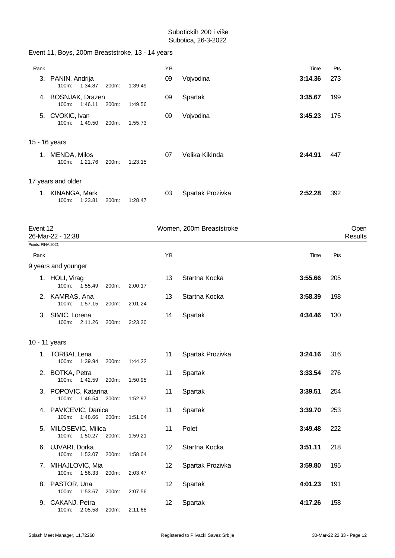|                   | Event 11, Boys, 200m Breaststroke, 13 - 14 years |       |         |    |                          |         |     |                 |
|-------------------|--------------------------------------------------|-------|---------|----|--------------------------|---------|-----|-----------------|
| Rank              |                                                  |       |         | YB |                          | Time    | Pts |                 |
|                   | 3. PANIN, Andrija<br>100m:<br>1:34.87            | 200m: | 1:39.49 | 09 | Vojvodina                | 3:14.36 | 273 |                 |
|                   | 4. BOSNJAK, Drazen<br>100m:<br>1.46.11           | 200m: | 1:49.56 | 09 | Spartak                  | 3:35.67 | 199 |                 |
|                   | 5. CVOKIC, Ivan<br>100m:<br>1:49.50              | 200m: | 1:55.73 | 09 | Vojvodina                | 3:45.23 | 175 |                 |
| 15 - 16 years     |                                                  |       |         |    |                          |         |     |                 |
|                   | 1. MENDA, Milos<br>100m:<br>1:21.76              | 200m: | 1:23.15 | 07 | Velika Kikinda           | 2:44.91 | 447 |                 |
|                   | 17 years and older                               |       |         |    |                          |         |     |                 |
|                   | 1. KINANGA, Mark<br>100m:<br>1:23.81             | 200m: | 1:28.47 | 03 | Spartak Prozivka         | 2:52.28 | 392 |                 |
| Event 12          | 26-Mar-22 - 12:38                                |       |         |    | Women, 200m Breaststroke |         |     | Open<br>Results |
| Points: FINA 2021 |                                                  |       |         |    |                          |         |     |                 |
| Rank              |                                                  |       |         | YB |                          | Time    | Pts |                 |
|                   | 9 years and younger                              |       |         |    |                          |         |     |                 |
|                   | 1. HOLI, Virag<br>100m:<br>1:55.49               | 200m: | 2:00.17 | 13 | Startna Kocka            | 3:55.66 | 205 |                 |
|                   | 2. KAMRAS, Ana<br>100m:<br>1:57.15               | 200m: | 2:01.24 | 13 | Startna Kocka            | 3:58.39 | 198 |                 |
|                   | 3. SIMIC, Lorena<br>100m:<br>2:11.26             | 200m: | 2:23.20 | 14 | Spartak                  | 4:34.46 | 130 |                 |
| 10 - 11 years     |                                                  |       |         |    |                          |         |     |                 |
|                   | 1. TORBAI, Lena<br>100m: 1:39.94                 | 200m: | 1:44.22 | 11 | Spartak Prozivka         | 3:24.16 | 316 |                 |
|                   | 2. BOTKA, Petra<br>100m: 1:42.59                 | 200m: | 1:50.95 | 11 | Spartak                  | 3:33.54 | 276 |                 |
|                   | 3. POPOVIC, Katarina<br>100m: 1:46.54            | 200m: | 1:52.97 | 11 | Spartak                  | 3:39.51 | 254 |                 |
|                   | 4. PAVICEVIC, Danica<br>100m: 1:48.66 200m:      |       | 1:51.04 | 11 | Spartak                  | 3:39.70 | 253 |                 |
|                   | 5. MILOSEVIC, Milica<br>100m:<br>1:50.27         | 200m: | 1:59.21 | 11 | Polet                    | 3:49.48 | 222 |                 |
|                   | 6. UJVARI, Dorka<br>100m:<br>1:53.07             | 200m: | 1:58.04 | 12 | Startna Kocka            | 3:51.11 | 218 |                 |
| 7.                | MIHAJLOVIC, Mia<br>100m: 1:56.33                 | 200m: | 2:03.47 | 12 | Spartak Prozivka         | 3:59.80 | 195 |                 |
|                   | 8. PASTOR, Una<br>100m:<br>1:53.67               | 200m: | 2:07.56 | 12 | Spartak                  | 4:01.23 | 191 |                 |
|                   | 9. CAKANJ, Petra<br>100m: 2:05.58                | 200m: | 2:11.68 | 12 | Spartak                  | 4:17.26 | 158 |                 |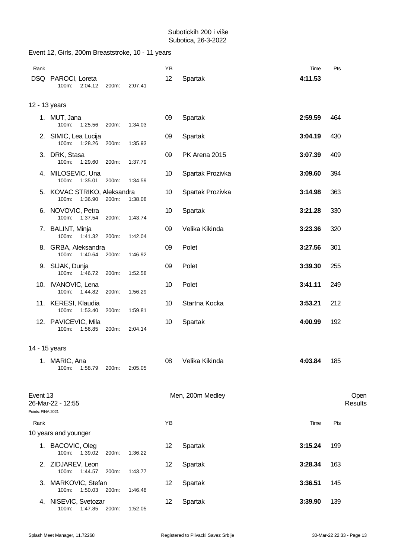|                           | Event 12, Girls, 200m Breaststroke, 10 - 11 years        |       |         |          |                  |                 |                 |
|---------------------------|----------------------------------------------------------|-------|---------|----------|------------------|-----------------|-----------------|
| Rank                      | DSQ PAROCI, Loreta<br>2:04.12<br>100m:                   | 200m: | 2:07.41 | ΥB<br>12 | Spartak          | Time<br>4:11.53 | Pts             |
|                           | 12 - 13 years                                            |       |         |          |                  |                 |                 |
|                           | 1. MUT, Jana<br>1:25.56 200m:<br>100m:                   |       | 1:34.03 | 09       | Spartak          | 2:59.59         | 464             |
|                           | 2. SIMIC, Lea Lucija<br>100m:<br>1:28.26                 | 200m: | 1:35.93 | 09       | Spartak          | 3:04.19         | 430             |
|                           | 3. DRK, Stasa<br>100m:<br>1:29.60                        | 200m: | 1:37.79 | 09       | PK Arena 2015    | 3:07.39         | 409             |
|                           | 4. MILOSEVIC, Una<br>100m: 1:35.01                       | 200m: | 1:34.59 | 10       | Spartak Prozivka | 3:09.60         | 394             |
|                           | 5. KOVAC STRIKO, Aleksandra<br>$100m$ :<br>1:36.90 200m: |       | 1:38.08 | 10       | Spartak Prozivka | 3:14.98         | 363             |
|                           | 6. NOVOVIC, Petra<br>100m: 1:37.54                       | 200m: | 1:43.74 | 10       | Spartak          | 3:21.28         | 330             |
|                           | 7. BALINT, Minja<br>100m: 1:41.32 200m:                  |       | 1:42.04 | 09       | Velika Kikinda   | 3:23.36         | 320             |
|                           | 8. GRBA, Aleksandra<br>100m: 1:40.64                     | 200m: | 1:46.92 | 09       | Polet            | 3:27.56         | 301             |
|                           | 9. SIJAK, Dunja<br>100m:<br>1:46.72                      | 200m: | 1:52.58 | 09       | Polet            | 3:39.30         | 255             |
|                           | 10. IVANOVIC, Lena<br>100m: 1:44.82                      | 200m: | 1:56.29 | 10       | Polet            | 3:41.11         | 249             |
|                           | 11. KERESI, Klaudia<br>100m: 1:53.40                     | 200m: | 1:59.81 | 10       | Startna Kocka    | 3:53.21         | 212             |
|                           | 12. PAVICEVIC, Mila<br>1:56.85<br>100m:                  | 200m: | 2:04.14 | 10       | Spartak          | 4:00.99         | 192             |
| 14 - 15 years             |                                                          |       |         |          |                  |                 |                 |
|                           | 1. MARIC, Ana<br>100m:<br>1:58.79                        | 200m: | 2:05.05 | 08       | Velika Kikinda   | 4:03.84         | 185             |
| Event 13                  | 26-Mar-22 - 12:55                                        |       |         |          | Men, 200m Medley |                 | Open<br>Results |
| Points: FINA 2021<br>Rank |                                                          |       |         | ΥB       |                  | Time            | Pts             |
|                           | 10 years and younger                                     |       |         |          |                  |                 |                 |
|                           | 1. BACOVIC, Oleg<br>100m:<br>1:39.02                     | 200m: | 1:36.22 | 12       | Spartak          | 3:15.24         | 199             |
|                           | 2. ZIDJAREV, Leon<br>100m:<br>1:44.57                    | 200m: | 1:43.77 | 12       | Spartak          | 3:28.34         | 163             |
| 3.                        | MARKOVIC, Stefan<br>100m:<br>1:50.03                     | 200m: | 1:46.48 | 12       | Spartak          | 3:36.51         | 145             |
|                           | 4. NISEVIC, Svetozar<br>100m:<br>1:47.85                 | 200m: | 1:52.05 | 12       | Spartak          | 3:39.90         | 139             |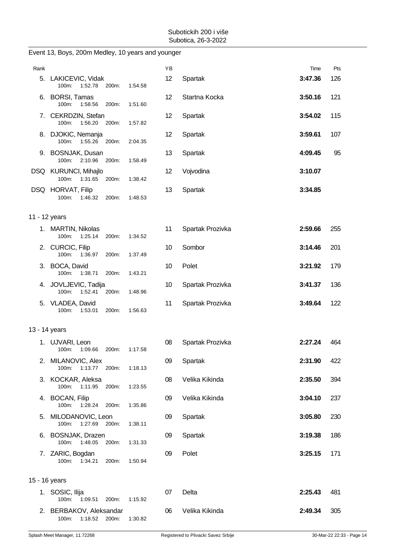| Rank          |                                                   |         | ΥB |                  | Time    | Pts |
|---------------|---------------------------------------------------|---------|----|------------------|---------|-----|
|               | 5. LAKICEVIC, Vidak<br>100m:<br>1:52.78<br>200m:  | 1:54.58 | 12 | Spartak          | 3:47.36 | 126 |
|               | 6. BORSI, Tamas<br>100m: 1:58.56<br>200m:         | 1:51.60 | 12 | Startna Kocka    | 3:50.16 | 121 |
|               | 7. CEKRDZIN, Stefan<br>100m:<br>1:56.20<br>200m:  | 1:57.82 | 12 | Spartak          | 3:54.02 | 115 |
|               | 8. DJOKIC, Nemanja<br>1:55.26<br>100m:<br>200m:   | 2:04.35 | 12 | Spartak          | 3:59.61 | 107 |
|               | 9. BOSNJAK, Dusan<br>100m:<br>2:10.96<br>200m:    | 1:58.49 | 13 | Spartak          | 4:09.45 | 95  |
|               | DSQ KURUNCI, Mihajlo<br>100m:<br>1:31.65<br>200m: | 1:38.42 | 12 | Vojvodina        | 3:10.07 |     |
|               | DSQ HORVAT, Filip<br>100m:<br>1:46.32<br>200m:    | 1:48.53 | 13 | Spartak          | 3:34.85 |     |
| 11 - 12 years |                                                   |         |    |                  |         |     |
|               | 1. MARTIN, Nikolas<br>100m:<br>1:25.14<br>200m:   | 1:34.52 | 11 | Spartak Prozivka | 2:59.66 | 255 |
|               | 2. CURCIC, Filip<br>100m: 1:36.97<br>200m:        | 1:37.49 | 10 | Sombor           | 3:14.46 | 201 |
|               | 3. BOCA, David<br>100m: 1:38.71<br>200m:          | 1:43.21 | 10 | Polet            | 3:21.92 | 179 |
|               | 4. JOVLJEVIC, Tadija<br>1:52.41<br>100m:<br>200m: | 1:48.96 | 10 | Spartak Prozivka | 3:41.37 | 136 |
|               | 5. VLADEA, David<br>1:53.01<br>100m:<br>200m:     | 1:56.63 | 11 | Spartak Prozivka | 3:49.64 | 122 |
| 13 - 14 years |                                                   |         |    |                  |         |     |
|               | 1. UJVARI, Leon<br>100m:<br>1:09.66<br>200m:      | 1:17.58 | 08 | Spartak Prozivka | 2:27.24 | 464 |
|               | 2. MILANOVIC, Alex<br>100m:<br>1:13.77<br>200m:   | 1:18.13 | 09 | Spartak          | 2:31.90 | 422 |
|               | 3. KOCKAR, Aleksa<br>100m: 1:11.95<br>200m:       | 1:23.55 | 08 | Velika Kikinda   | 2:35.50 | 394 |
|               | 4. BOCAN, Filip<br>100m:<br>1:28.24<br>200m:      | 1:35.86 | 09 | Velika Kikinda   | 3:04.10 | 237 |
|               | 5. MILODANOVIC, Leon<br>100m:<br>1:27.69<br>200m: | 1:38.11 | 09 | Spartak          | 3:05.80 | 230 |
|               | 6. BOSNJAK, Drazen<br>100m: 1:48.05<br>200m:      | 1:31.33 | 09 | Spartak          | 3:19.38 | 186 |
|               | 7. ZARIC, Bogdan<br>100m:<br>1:34.21<br>200m:     | 1:50.94 | 09 | Polet            | 3:25.15 | 171 |
| 15 - 16 years |                                                   |         |    |                  |         |     |
|               | 1. SOSIC, Ilija<br>100m:<br>1:09.51<br>200m:      | 1:15.92 | 07 | Delta            | 2:25.43 | 481 |
|               | 2. BERBAKOV, Aleksandar<br>100m: 1:18.52 200m:    | 1:30.82 | 06 | Velika Kikinda   | 2:49.34 | 305 |

#### Event 13, Boys, 200m Medley, 10 years and younger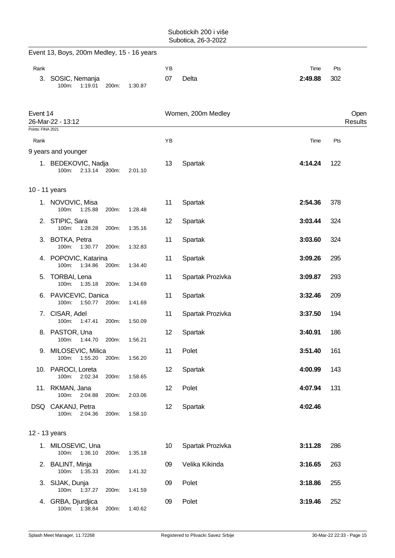|                               | Event 13, Boys, 200m Medley, 15 - 16 years    |       |         |          |                    |                 |                        |
|-------------------------------|-----------------------------------------------|-------|---------|----------|--------------------|-----------------|------------------------|
| Rank                          | 3. SOSIC, Nemanja<br>1:19.01<br>100m:         | 200m: | 1:30.87 | YB<br>07 | Delta              | Time<br>2:49.88 | Pts<br>302             |
| Event 14<br>Points: FINA 2021 | 26-Mar-22 - 13:12                             |       |         |          | Women, 200m Medley |                 | Open<br><b>Results</b> |
| Rank                          |                                               |       |         | YB       |                    | Time            | Pts                    |
|                               | 9 years and younger                           |       |         |          |                    |                 |                        |
|                               | 1. BEDEKOVIC, Nadja<br>2:13.14 200m:<br>100m: |       | 2:01.10 | 13       | Spartak            | 4:14.24         | 122                    |
| 10 - 11 years                 |                                               |       |         |          |                    |                 |                        |
|                               | 1. NOVOVIC, Misa<br>100m:<br>1:25.88          | 200m: | 1:28.48 | 11       | Spartak            | 2:54.36         | 378                    |
|                               | 2. STIPIC, Sara<br>100m:<br>1:28.28           | 200m: | 1:35.16 | 12       | Spartak            | 3:03.44         | 324                    |
|                               | 3. BOTKA, Petra<br>1:30.77<br>100m:           | 200m: | 1:32.83 | 11       | Spartak            | 3:03.60         | 324                    |
|                               | 4. POPOVIC, Katarina<br>100m:<br>1:34.86      | 200m: | 1:34.40 | 11       | Spartak            | 3:09.26         | 295                    |
| 5.                            | <b>TORBAI, Lena</b><br>100m:<br>1:35.18 200m: |       | 1:34.69 | 11       | Spartak Prozivka   | 3:09.87         | 293                    |
|                               | 6. PAVICEVIC, Danica<br>100m:<br>1:50.77      | 200m: | 1:41.69 | 11       | Spartak            | 3:32.46         | 209                    |
|                               | 7. CISAR, Adel<br>$100m$ :<br>1.47.41         | 200m: | 1:50.09 | 11       | Spartak Prozivka   | 3:37.50         | 194                    |
|                               | 8. PASTOR, Una<br>100m:<br>1:44.70            | 200m: | 1:56.21 | 12       | Spartak            | 3:40.91         | 186                    |
|                               | 9. MILOSEVIC, Milica<br>1:55.20<br>100m:      | 200m: | 1:56.20 | 11       | Polet              | 3:51.40         | 161                    |
|                               | 10. PAROCI, Loreta<br>100m: 2:02.34           | 200m: | 1:58.65 | 12       | Spartak            | 4:00.99         | 143                    |
|                               | 11. RKMAN, Jana<br>100m:<br>2:04.88           | 200m: | 2:03.06 | 12       | Polet              | 4:07.94         | 131                    |
|                               | DSQ CAKANJ, Petra<br>100m:<br>2:04.36         | 200m: | 1:58.10 | 12       | Spartak            | 4:02.46         |                        |
| 12 - 13 years                 |                                               |       |         |          |                    |                 |                        |
|                               | 1. MILOSEVIC, Una<br>100m:<br>1:36.10         | 200m: | 1:35.18 | 10       | Spartak Prozivka   | 3:11.28         | 286                    |
|                               | 2. BALINT, Minja<br>100m: 1:35.33             | 200m: | 1:41.32 | 09       | Velika Kikinda     | 3:16.65         | 263                    |
|                               | 3. SIJAK, Dunja<br>1:37.27<br>100m:           | 200m: | 1:41.59 | 09       | Polet              | 3:18.86         | 255                    |
|                               | 4. GRBA, Djurdjica<br>1:38.84<br>100m:        | 200m: | 1:40.62 | 09       | Polet              | 3:19.46         | 252                    |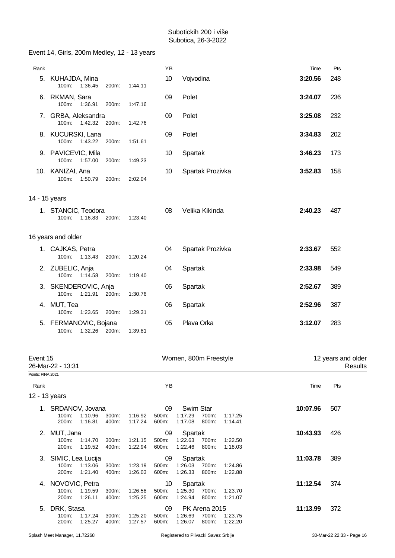|                               | Event 14, Girls, 200m Medley, 12 - 13 years                  |                |                    |                      |                                                                             |          |                               |
|-------------------------------|--------------------------------------------------------------|----------------|--------------------|----------------------|-----------------------------------------------------------------------------|----------|-------------------------------|
| Rank                          |                                                              |                |                    | YB                   |                                                                             | Time     | Pts                           |
|                               | 5. KUHAJDA, Mina<br>100m:<br>1:36.45                         | 200m:          | 1:44.11            | 10                   | Vojvodina                                                                   | 3:20.56  | 248                           |
|                               | 6. RKMAN, Sara<br>100m: 1:36.91                              | 200m:          | 1:47.16            | 09                   | Polet                                                                       | 3:24.07  | 236                           |
|                               | 7. GRBA, Aleksandra<br>100m: 1:42.32                         | 200m:          | 1:42.76            | 09                   | Polet                                                                       | 3:25.08  | 232                           |
|                               | 8. KUCURSKI, Lana<br>1:43.22<br>100m:                        | 200m:          | 1:51.61            | 09                   | Polet                                                                       | 3:34.83  | 202                           |
|                               | 9. PAVICEVIC, Mila<br>100m: 1:57.00                          | 200m:          | 1:49.23            | 10                   | Spartak                                                                     | 3:46.23  | 173                           |
|                               | 10. KANIZAI, Ana<br>100m:<br>1:50.79                         | 200m:          | 2:02.04            | 10                   | Spartak Prozivka                                                            | 3:52.83  | 158                           |
| 14 - 15 years                 |                                                              |                |                    |                      |                                                                             |          |                               |
|                               | 1. STANCIC, Teodora<br>100m:<br>1:16.83                      | 200m:          | 1:23.40            | 08                   | Velika Kikinda                                                              | 2:40.23  | 487                           |
|                               | 16 years and older                                           |                |                    |                      |                                                                             |          |                               |
|                               | 1. CAJKAS, Petra<br>1:13.43<br>100m:                         | 200m:          | 1:20.24            | 04                   | Spartak Prozivka                                                            | 2:33.67  | 552                           |
|                               | 2. ZUBELIC, Anja<br>100m: 1:14.58                            | 200m:          | 1:19.40            | 04                   | Spartak                                                                     | 2:33.98  | 549                           |
|                               | 3. SKENDEROVIC, Anja<br>100m:<br>1:21.91                     | 200m:          | 1:30.76            | 06                   | Spartak                                                                     | 2:52.67  | 389                           |
|                               | 4. MUT, Tea<br>100m:<br>1:23.65                              | 200m:          | 1:29.31            | 06                   | Spartak                                                                     | 2:52.96  | 387                           |
|                               | 5. FERMANOVIC, Bojana<br>1:32.26 200m:<br>100m:              |                | 1:39.81            | 05                   | Plava Orka                                                                  | 3:12.07  | 283                           |
| Event 15<br>Points: FINA 2021 | 26-Mar-22 - 13:31                                            |                |                    |                      | Women, 800m Freestyle                                                       |          | 12 years and older<br>Results |
| Rank                          |                                                              |                |                    | YB                   |                                                                             | Time     | Pts                           |
| 12 - 13 years                 |                                                              |                |                    |                      |                                                                             |          |                               |
|                               | 1. SRDANOV, Jovana<br>100m:<br>1:10.96<br>200m:<br>1:16.81   | 300m:<br>400m: | 1:16.92<br>1:17.24 | 09<br>500m:<br>600m: | Swim Star<br>1:17.29<br>700m:<br>1:17.25<br>1:17.08<br>800m:<br>1:14.41     | 10:07.96 | 507                           |
| 2.                            | MUT, Jana<br>100m:<br>1:14.70<br>200m:<br>1:19.52            | 300m:<br>400m: | 1:21.15<br>1:22.94 | 09<br>500m:<br>600m: | Spartak<br>1:22.63<br>700m:<br>1:22.50<br>1:22.46<br>800m:<br>1:18.03       | 10:43.93 | 426                           |
|                               | 3. SIMIC, Lea Lucija<br>100m:<br>1:13.06<br>200m:<br>1:21.40 | 300m:<br>400m: | 1:23.19<br>1:26.03 | 09<br>500m:<br>600m: | Spartak<br>1:26.03<br>700m:<br>1:24.86<br>1:26.33<br>800m:<br>1:22.88       | 11:03.78 | 389                           |
|                               | 4. NOVOVIC, Petra<br>100m:<br>1:19.59<br>200m:<br>1:26.11    | 300m:<br>400m: | 1:26.58<br>1:25.25 | 10<br>500m:<br>600m: | Spartak<br>1:25.30<br>700m:<br>1:23.70<br>1:24.94<br>800m:<br>1:21.07       | 11:12.54 | 374                           |
| 5.                            | DRK, Stasa<br>100m:<br>1:17.24<br>200m:<br>1:25.27           | 300m:<br>400m: | 1:25.20<br>1:27.57 | 09<br>500m:<br>600m: | PK Arena 2015<br>1:26.69<br>700m:<br>1:23.75<br>1:26.07<br>800m:<br>1:22.20 | 11:13.99 | 372                           |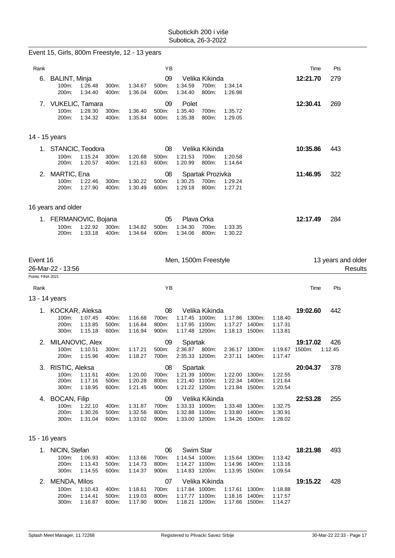|                   | Event 15, Girls, 800m Freestyle, 12 - 13 years                                  |                         |                               |                               |                                                                      |                                                    |                                    |                               |          |                    |
|-------------------|---------------------------------------------------------------------------------|-------------------------|-------------------------------|-------------------------------|----------------------------------------------------------------------|----------------------------------------------------|------------------------------------|-------------------------------|----------|--------------------|
| Rank              |                                                                                 |                         |                               | YB                            |                                                                      |                                                    |                                    |                               | Time     | Pts                |
| 6.                | <b>BALINT, Minja</b><br>100m:<br>1:26.48<br>200m:<br>1:34.40                    | 300m:<br>400m:          | 1:34.67<br>1:36.04            | 09<br>500m:<br>600m:          | Velika Kikinda<br>1:34.59<br>700m:<br>1:34.40<br>800m:               | 1:34.14<br>1:26.98                                 |                                    |                               | 12:21.70 | 279                |
|                   | 7. VUKELIC, Tamara<br>1:28.30<br>100m:<br>1:34.32<br>200m:                      | 300m:<br>400m:          | 1:36.40<br>1:35.84            | 09<br>500m:<br>600m:          | Polet<br>1:35.40<br>700m:<br>1:35.38<br>800m:                        | 1:35.72<br>1:29.05                                 |                                    |                               | 12:30.41 | 269                |
|                   | 14 - 15 years                                                                   |                         |                               |                               |                                                                      |                                                    |                                    |                               |          |                    |
|                   | 1. STANCIC, Teodora<br>100m:<br>1:15.24<br>200m:<br>1:20.57                     | 300m:<br>400m:          | 1:20.68<br>1:21.63            | 08<br>500m:<br>600m:          | Velika Kikinda<br>1:21.53<br>700m:<br>1:20.99<br>800m:               | 1:20.58<br>1:14.64                                 |                                    |                               | 10:35.86 | 443                |
|                   | 2. MARTIC, Ena<br>100m:<br>1:22.46<br>200m:<br>1:27.90                          | 300m:<br>400m:          | 1:30.22<br>1:30.49            | 08<br>500m:<br>600m:          | Spartak Prozivka<br>1:30.25<br>700m:<br>1:29.18<br>800m:             | 1:29.24<br>1:27.21                                 |                                    |                               | 11:46.95 | 322                |
|                   | 16 years and older                                                              |                         |                               |                               |                                                                      |                                                    |                                    |                               |          |                    |
|                   | 1. FERMANOVIC, Bojana<br>100m:<br>1:22.92<br>200m:<br>1:33.18                   | 300m:<br>400m:          | 1:34.82<br>1:34.64            | 05<br>500m:<br>600m:          | Plava Orka<br>1:34.30<br>700m:<br>1:34.06<br>800m:                   | 1:33.35<br>1:30.22                                 |                                    |                               | 12:17.49 | 284                |
| Event 16          |                                                                                 |                         |                               |                               | Men, 1500m Freestyle                                                 |                                                    |                                    |                               |          | 13 years and older |
|                   | 26-Mar-22 - 13:56                                                               |                         |                               |                               |                                                                      |                                                    |                                    |                               |          | <b>Results</b>     |
| Points: FINA 2021 |                                                                                 |                         |                               |                               |                                                                      |                                                    |                                    |                               |          |                    |
| Rank              |                                                                                 |                         |                               | ΥB                            |                                                                      |                                                    |                                    |                               | Time     | Pts                |
|                   | 13 - 14 years                                                                   |                         |                               |                               |                                                                      |                                                    |                                    |                               |          |                    |
|                   | 1. KOCKAR, Aleksa<br>100m:<br>1:07.45<br>200m:<br>1:13.85<br>300m:<br>1:15.18   | 400m:<br>500m:<br>600m: | 1:16.68<br>1:16.84<br>1:16.94 | 08<br>700m:<br>800m:<br>900m: | Velika Kikinda<br>1:17.45 1000m:<br>1:17.95 1100m:<br>1:17.48 1200m: | 1:17.27<br>1:18.13                                 | 1:17.86 1300m:<br>1400m:<br>1500m: | 1:18.40<br>1:17.31<br>1:13.81 | 19:02.60 | 442                |
|                   | 2. MILANOVIC, Alex<br>1:10.51<br>100m:<br>200m:<br>1:15.96                      | 300m:<br>400m:          | 1:17.21<br>1:18.27            | 09<br>500m:<br>700m:          | Spartak<br>2:36.87<br>800m:<br>2:35.33 1200m:                        |                                                    | 2:36.17 1300m:<br>2:37.11 1400m:   | 1:19.67 1500m:<br>1:17.47     | 19:17.02 | 426<br>1:12.45     |
| 3.                | RISTIC, Aleksa<br>100m:<br>1:11.61<br>200m:<br>1:17.16<br>300m:<br>1:18.95      | 400m:<br>500m:<br>600m: | 1:20.00<br>1:20.28<br>1:21.45 | 08<br>700m:<br>800m:<br>900m: | Spartak<br>1:21.39 1000m:<br>1:21.40 1100m:<br>1:21.22 1200m:        | 1:22.00 1300m:<br>1:22.34 1400m:<br>1:21.84 1500m: |                                    | 1:22.55<br>1:21.64<br>1:20.54 | 20:04.37 | 378                |
| 4.                | <b>BOCAN, Filip</b><br>100m:<br>1:22.10<br>200m:<br>1:30.26<br>300m:<br>1:31.04 | 400m:<br>500m:<br>600m: | 1:31.87<br>1:32.56<br>1:33.02 | 09<br>700m:<br>800m:<br>900m: | Velika Kikinda<br>1:33.33 1000m:<br>1:32.88 1100m:<br>1:33.00 1200m: | 1:33.48<br>1:33.80 1400m:<br>1:34.26 1500m:        | 1300m:                             | 1:32.75<br>1:30.91<br>1:28.02 | 22:53.28 | 255                |
|                   | 15 - 16 years                                                                   |                         |                               |                               |                                                                      |                                                    |                                    |                               |          |                    |

2. MENDA, Milos 07 Velika Kikinda **19:15.22** 428

100m: 1:10.43 400m: 1:18.61 700m: 1:17.84 1000m: 1:17.61 1300m: 1:18.88 200m: 1:14.41 500m: 1:19.03 800m: 1:17.77 1100m: 1:18.16 1400m: 1:17.57 300m: 1:16.87 600m: 1:17.90 900m: 1:18.21 1200m: 1:17.66 1500m: 1:14.27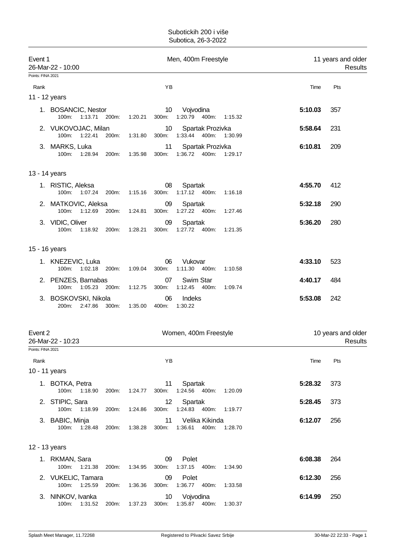| Event 1<br>26-Mar-22 - 10:00 |                                                |                  | Men, 400m Freestyle                                  |         | 11 years and older<br>Results |  |  |
|------------------------------|------------------------------------------------|------------------|------------------------------------------------------|---------|-------------------------------|--|--|
| Points: FINA 2021            |                                                |                  |                                                      |         |                               |  |  |
| Rank                         |                                                |                  | YB                                                   | Time    | Pts                           |  |  |
| 11 - 12 years                |                                                |                  |                                                      |         |                               |  |  |
|                              | 1. BOSANCIC, Nestor<br>100m:<br>1:13.71 200m:  | 1:20.21<br>300m: | 10<br>Vojvodina<br>1:20.79  400m: 1:15.32            | 5:10.03 | 357                           |  |  |
|                              | 2. VUKOVOJAC, Milan<br>100m: 1:22.41<br>200m:  | 1:31.80<br>300m: | 10<br>Spartak Prozivka<br>1:33.44 400m: 1:30.99      | 5:58.64 | 231                           |  |  |
|                              | 3. MARKS, Luka<br>100m: 1:28.94<br>200m:       | 1:35.98<br>300m: | Spartak Prozivka<br>11<br>1:36.72  400m: 1:29.17     | 6:10.81 | 209                           |  |  |
| 13 - 14 years                |                                                |                  |                                                      |         |                               |  |  |
|                              | 1. RISTIC, Aleksa<br>100m: 1:07.24 200m:       | 1:15.16<br>300m: | 08<br>Spartak<br>$1:17.12$ 400m:<br>1.16.18          | 4:55.70 | 412                           |  |  |
|                              | 2. MATKOVIC, Aleksa<br>100m: 1:12.69 200m:     | 1:24.81<br>300m: | 09<br>Spartak<br>1:27.22 400m:<br>1:27.46            | 5:32.18 | 290                           |  |  |
|                              | 3. VIDIC, Oliver<br>100m:<br>1:18.92<br>200m:  | 1:28.21<br>300m: | 09<br>Spartak<br>1:27.72  400m:<br>1:21.35           | 5:36.20 | 280                           |  |  |
| 15 - 16 years                |                                                |                  |                                                      |         |                               |  |  |
|                              | 1. KNEZEVIC, Luka<br>1:02.18<br>100m:<br>200m: | 1:09.04<br>300m: | Vukovar<br>06<br>1:11.30 400m:<br>1:10.58            | 4:33.10 | 523                           |  |  |
|                              | 2. PENZES, Barnabas<br>100m:<br>1:05.23 200m:  | 1:12.75<br>300m: | Swim Star<br>07<br>1:12.45<br>400m:<br>1:09.74       | 4:40.17 | 484                           |  |  |
|                              | 3. BOSKOVSKI, Nikola<br>2:47.86 300m:<br>200m: | 1:35.00<br>400m: | 06<br>Indeks<br>1:30.22                              | 5:53.08 | 242                           |  |  |
| Event 2<br>Points: FINA 2021 | 26-Mar-22 - 10:23                              |                  | Women, 400m Freestyle                                |         | 10 years and older<br>Results |  |  |
| Rank                         |                                                |                  | ΥB                                                   | Time    | Pts                           |  |  |
| 10 - 11 years                |                                                |                  |                                                      |         |                               |  |  |
|                              | 1. BOTKA, Petra<br>100m:<br>1:18.90<br>200m:   | 1:24.77<br>300m: | Spartak<br>11<br>1:24.56 400m: 1:20.09               | 5:28.32 | 373                           |  |  |
|                              | 2. STIPIC, Sara<br>100m: 1:18.99<br>200m:      | 300m:<br>1:24.86 | Spartak<br>12 <sup>°</sup><br>1:24.83  400m: 1:19.77 | 5:28.45 | 373                           |  |  |
|                              | 3. BABIC, Minja<br>100m: 1:28.48<br>200m:      | 1:38.28<br>300m: | Velika Kikinda<br>11<br>1:36.61<br>400m:<br>1.28.70  | 6:12.07 | 256                           |  |  |
| 12 - 13 years                |                                                |                  |                                                      |         |                               |  |  |
|                              | 1. RKMAN, Sara<br>100m: 1:21.38<br>200m:       | 1:34.95<br>300m: | Polet<br>09<br>1:37.15<br>400m:<br>1:34.90           | 6:08.38 | 264                           |  |  |
|                              | 2. VUKELIC, Tamara<br>100m: 1:25.59<br>200m:   | 1:36.36<br>300m: | 09<br>Polet<br>1:36.77 400m:<br>1:33.58              | 6:12.30 | 256                           |  |  |
|                              | 3. NINKOV, Ivanka<br>100m: 1:31.52<br>200m:    | 1:37.23          | Vojvodina<br>10<br>300m: 1:35.87 400m: 1:30.37       | 6:14.99 | 250                           |  |  |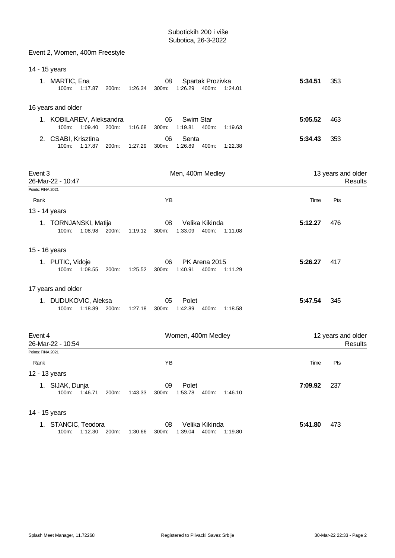|                   | Event 2, Women, 400m Freestyle               |                  |             |                                      |         |         |                               |
|-------------------|----------------------------------------------|------------------|-------------|--------------------------------------|---------|---------|-------------------------------|
| 14 - 15 years     |                                              |                  |             |                                      |         |         |                               |
|                   | 1. MARTIC, Ena<br>100m:<br>1:17.87           | 200m:<br>1:26.34 | 08<br>300m: | Spartak Prozivka<br>1:26.29<br>400m: | 1:24.01 | 5:34.51 | 353                           |
|                   | 16 years and older                           |                  |             |                                      |         |         |                               |
|                   | 1. KOBILAREV, Aleksandra<br>100m:<br>1:09.40 | 200m:<br>1:16.68 | 06<br>300m: | Swim Star<br>1:19.81<br>400m:        | 1:19.63 | 5:05.52 | 463                           |
|                   | 2. CSABI, Krisztina<br>100m:<br>1:17.87      | 200m:<br>1:27.29 | 06<br>300m: | Senta<br>1:26.89<br>400m:            | 1:22.38 | 5:34.43 | 353                           |
| Event 3           | 26-Mar-22 - 10:47                            |                  |             | Men, 400m Medley                     |         |         | 13 years and older<br>Results |
| Points: FINA 2021 |                                              |                  |             |                                      |         |         |                               |
| Rank              |                                              |                  | YB          |                                      |         | Time    | Pts                           |
| 13 - 14 years     |                                              |                  |             |                                      |         |         |                               |
|                   | 1. TORNJANSKI, Matija<br>100m:<br>1:08.98    | 200m:<br>1:19.12 | 08<br>300m: | Velika Kikinda<br>1:33.09<br>400m:   | 1:11.08 | 5:12.27 | 476                           |
|                   | 15 - 16 years                                |                  |             |                                      |         |         |                               |
|                   | 1. PUTIC, Vidoje<br>100m:<br>1:08.55         | 200m:<br>1:25.52 | 06<br>300m: | PK Arena 2015<br>1:40.91<br>400m:    | 1:11.29 | 5:26.27 | 417                           |
|                   | 17 years and older                           |                  |             |                                      |         |         |                               |
|                   | 1. DUDUKOVIC, Aleksa<br>1:18.89<br>100m:     | 200m:<br>1:27.18 | 05<br>300m: | Polet<br>1:42.89<br>400m:            | 1:18.58 | 5:47.54 | 345                           |
| Event 4           | 26-Mar-22 - 10:54                            |                  |             | Women, 400m Medley                   |         |         | 12 years and older<br>Results |
| Points: FINA 2021 |                                              |                  |             |                                      |         |         |                               |
| Rank              |                                              |                  | ΥB          |                                      |         | Time    | Pts                           |
| 12 - 13 years     |                                              |                  |             |                                      |         |         |                               |
|                   | 1. SIJAK, Dunja<br>100m:<br>1.46.71          | 200m:<br>1:43.33 | 09<br>300m: | Polet<br>1:53.78<br>400m:            | 1:46.10 | 7:09.92 | 237                           |
| 14 - 15 years     |                                              |                  |             |                                      |         |         |                               |
|                   | 1. STANCIC, Teodora<br>1:12.30<br>100m:      | 200m:<br>1:30.66 | 08<br>300m: | Velika Kikinda<br>1:39.04<br>400m:   | 1:19.80 | 5:41.80 | 473                           |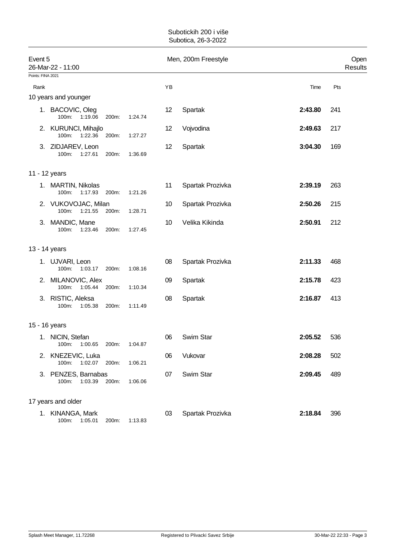| Event 5           | 26-Mar-22 - 11:00                        |       |         |    | Men, 200m Freestyle |         | Open<br>Results |
|-------------------|------------------------------------------|-------|---------|----|---------------------|---------|-----------------|
| Points: FINA 2021 |                                          |       |         |    |                     |         |                 |
| Rank              |                                          |       |         | YB |                     | Time    | Pts             |
|                   | 10 years and younger                     |       |         |    |                     |         |                 |
|                   | 1. BACOVIC, Oleg<br>1:19.06<br>100m:     | 200m: | 1:24.74 | 12 | Spartak             | 2:43.80 | 241             |
|                   | 2. KURUNCI, Mihajlo<br>100m:<br>1:22.36  | 200m: | 1:27.27 | 12 | Vojvodina           | 2:49.63 | 217             |
|                   | 3. ZIDJAREV, Leon<br>100m:<br>1:27.61    | 200m: | 1:36.69 | 12 | Spartak             | 3:04.30 | 169             |
|                   | 11 - 12 years                            |       |         |    |                     |         |                 |
|                   | 1. MARTIN, Nikolas<br>1:17.93<br>100m:   | 200m: | 1:21.26 | 11 | Spartak Prozivka    | 2:39.19 | 263             |
|                   | 2. VUKOVOJAC, Milan<br>100m:<br>1:21.55  | 200m: | 1:28.71 | 10 | Spartak Prozivka    | 2:50.26 | 215             |
|                   | 3. MANDIC, Mane<br>100m:<br>1:23.46      | 200m: | 1:27.45 | 10 | Velika Kikinda      | 2:50.91 | 212             |
|                   | 13 - 14 years                            |       |         |    |                     |         |                 |
|                   | 1. UJVARI, Leon<br>100m:<br>1:03.17      | 200m: | 1:08.16 | 08 | Spartak Prozivka    | 2:11.33 | 468             |
|                   | 2. MILANOVIC, Alex<br>100m:<br>1:05.44   | 200m: | 1:10.34 | 09 | Spartak             | 2:15.78 | 423             |
|                   | 3. RISTIC, Aleksa<br>1:05.38<br>$100m$ : | 200m: | 1:11.49 | 08 | Spartak             | 2:16.87 | 413             |
|                   | 15 - 16 years                            |       |         |    |                     |         |                 |
|                   | 1. NICIN, Stefan<br>100m:<br>1:00.65     | 200m: | 1:04.87 | 06 | Swim Star           | 2:05.52 | 536             |
|                   | 2. KNEZEVIC, Luka<br>100m:<br>1:02.07    | 200m: | 1:06.21 | 06 | Vukovar             | 2:08.28 | 502             |
|                   | 3. PENZES, Barnabas<br>100m:<br>1:03.39  | 200m: | 1:06.06 | 07 | Swim Star           | 2:09.45 | 489             |
|                   | 17 years and older                       |       |         |    |                     |         |                 |
|                   | 1. KINANGA, Mark<br>100m:<br>1:05.01     | 200m: | 1:13.83 | 03 | Spartak Prozivka    | 2:18.84 | 396             |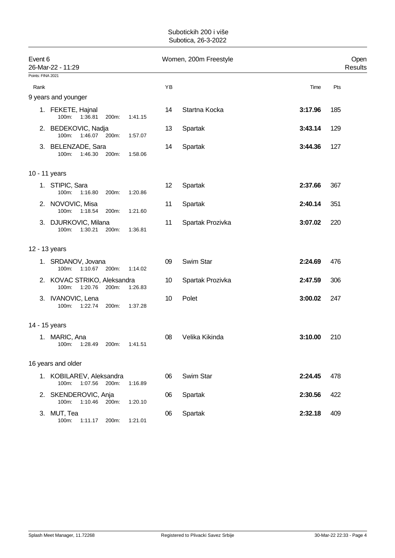| Event 6           | 26-Mar-22 - 11:29                                        |         | Women, 200m Freestyle | Open<br>Results  |         |     |
|-------------------|----------------------------------------------------------|---------|-----------------------|------------------|---------|-----|
| Points: FINA 2021 |                                                          |         |                       |                  |         |     |
| Rank              |                                                          |         | ΥB                    |                  | Time    | Pts |
|                   | 9 years and younger                                      |         |                       |                  |         |     |
|                   | 1. FEKETE, Hajnal<br>100m: 1:36.81<br>200m:              | 1:41.15 | 14                    | Startna Kocka    | 3:17.96 | 185 |
|                   | 2. BEDEKOVIC, Nadja<br>100m:<br>1:46.07 200m:            | 1:57.07 | 13                    | Spartak          | 3:43.14 | 129 |
|                   | 3. BELENZADE, Sara<br>100m:<br>1:46.30<br>200m:          | 1:58.06 | 14                    | Spartak          | 3:44.36 | 127 |
|                   | 10 - 11 years                                            |         |                       |                  |         |     |
|                   | 1. STIPIC, Sara<br>100m:<br>1:16.80<br>200m:             | 1:20.86 | 12                    | Spartak          | 2:37.66 | 367 |
|                   | 2. NOVOVIC, Misa<br>100m:<br>1:18.54<br>200m:            | 1:21.60 | 11                    | Spartak          | 2:40.14 | 351 |
|                   | 3. DJURKOVIC, Milana<br>100m:<br>1:30.21<br>200m:        | 1:36.81 | 11                    | Spartak Prozivka | 3:07.02 | 220 |
|                   | 12 - 13 years                                            |         |                       |                  |         |     |
|                   | 1. SRDANOV, Jovana<br>100m:<br>1:10.67 200m:             | 1:14.02 | 09                    | Swim Star        | 2:24.69 | 476 |
|                   | 2. KOVAC STRIKO, Aleksandra<br>100m:<br>1:20.76<br>200m: | 1:26.83 | 10                    | Spartak Prozivka | 2:47.59 | 306 |
|                   | 3. IVANOVIC, Lena<br>1:22.74<br>200m:<br>100m:           | 1:37.28 | 10                    | Polet            | 3:00.02 | 247 |
|                   | 14 - 15 years                                            |         |                       |                  |         |     |
|                   | 1. MARIC, Ana<br>100m:<br>1:28.49<br>200m:               | 1:41.51 | 08                    | Velika Kikinda   | 3:10.00 | 210 |
|                   | 16 years and older                                       |         |                       |                  |         |     |
|                   | 1. KOBILAREV, Aleksandra<br>100m: 1:07.56<br>200m:       | 1:16.89 | 06                    | Swim Star        | 2:24.45 | 478 |
|                   | 2. SKENDEROVIC, Anja<br>1:10.46<br>100m:<br>200m:        | 1:20.10 | 06                    | Spartak          | 2:30.56 | 422 |
|                   | 3. MUT, Tea<br>100m:<br>1:11.17<br>200m:                 | 1:21.01 | 06                    | Spartak          | 2:32.18 | 409 |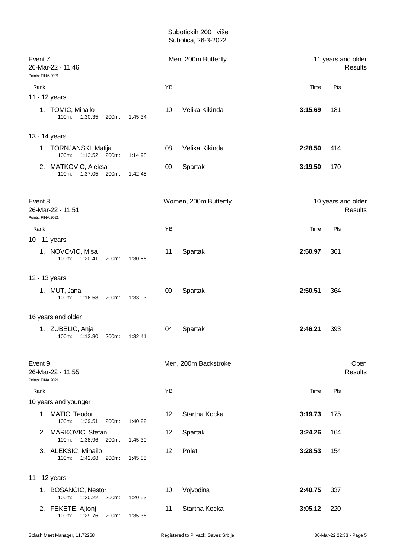| Event 7<br>26-Mar-22 - 11:46                                                                        | Men, 200m Butterfly   | 11 years and older<br><b>Results</b> |  |  |
|-----------------------------------------------------------------------------------------------------|-----------------------|--------------------------------------|--|--|
| Points: FINA 2021                                                                                   |                       |                                      |  |  |
| Rank                                                                                                | YB                    | Time<br>Pts                          |  |  |
| 11 - 12 years                                                                                       |                       |                                      |  |  |
| 1. TOMIC, Mihajlo<br>100m:<br>1:30.35<br>200m:<br>1:45.34                                           | Velika Kikinda<br>10  | 3:15.69<br>181                       |  |  |
| 13 - 14 years                                                                                       |                       |                                      |  |  |
| 1. TORNJANSKI, Matija<br>1:13.52 200m:<br>100m:<br>1:14.98                                          | Velika Kikinda<br>08  | 2:28.50<br>414                       |  |  |
| 2. MATKOVIC, Aleksa<br>100m:<br>1:37.05<br>200m:<br>1:42.45                                         | 09<br>Spartak         | 3:19.50<br>170                       |  |  |
| Event 8<br>26-Mar-22 - 11:51                                                                        | Women, 200m Butterfly | 10 years and older<br><b>Results</b> |  |  |
| Points: FINA 2021                                                                                   |                       |                                      |  |  |
| Rank                                                                                                | YB                    | Time<br>Pts                          |  |  |
| 10 - 11 years                                                                                       |                       |                                      |  |  |
| 1. NOVOVIC, Misa<br>100m:<br>1:20.41<br>200m:<br>1:30.56                                            | Spartak<br>11         | 2:50.97<br>361                       |  |  |
| 12 - 13 years                                                                                       |                       |                                      |  |  |
| 1. MUT, Jana<br>100m:<br>1:16.58<br>200m:<br>1:33.93                                                | Spartak<br>09         | 2:50.51<br>364                       |  |  |
| 16 years and older                                                                                  |                       |                                      |  |  |
| 1. ZUBELIC, Anja<br>100m:<br>1:13.80<br>1:32.41<br>200m:                                            | 04<br>Spartak         | 2:46.21<br>393                       |  |  |
| Event 9<br>26-Mar-22 - 11:55<br>Points: FINA 2021                                                   | Men, 200m Backstroke  | Open<br><b>Results</b>               |  |  |
|                                                                                                     |                       |                                      |  |  |
| Rank                                                                                                | YB                    | Time<br>Pts                          |  |  |
| 10 years and younger<br>1. MATIC, Teodor                                                            | Startna Kocka<br>12   | 3:19.73<br>175                       |  |  |
| 100m:<br>1:39.51<br>200m:<br>1:40.22<br>2. MARKOVIC, Stefan                                         | Spartak<br>12         | 3:24.26<br>164                       |  |  |
| 1:38.96<br>100m:<br>200m:<br>1:45.30<br>3. ALEKSIC, Mihailo<br>100m:<br>1:42.68<br>200m:<br>1:45.85 | 12<br>Polet           | 3:28.53<br>154                       |  |  |
|                                                                                                     |                       |                                      |  |  |
| 11 - 12 years                                                                                       |                       |                                      |  |  |
| 1. BOSANCIC, Nestor<br>1:20.22 200m:<br>100m:<br>1:20.53                                            | Vojvodina<br>10       | 2:40.75<br>337                       |  |  |
| 2. FEKETE, Ajtonj<br>100m:<br>1:29.76<br>200m:<br>1:35.36                                           | Startna Kocka<br>11   | 3:05.12<br>220                       |  |  |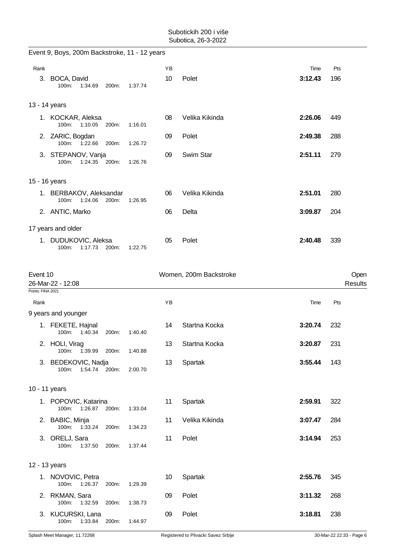|                   | Event 9, Boys, 200m Backstroke, 11 - 12 years |                  |    |                        |         |                        |
|-------------------|-----------------------------------------------|------------------|----|------------------------|---------|------------------------|
| Rank              |                                               |                  | YB |                        | Time    | Pts                    |
|                   | 3. BOCA, David<br>100m:<br>1:34.69            | 200m:<br>1:37.74 | 10 | Polet                  | 3:12.43 | 196                    |
|                   | 13 - 14 years                                 |                  |    |                        |         |                        |
|                   | 1. KOCKAR, Aleksa<br>1:10.05<br>100m:         | 200m:<br>1:16.01 | 08 | Velika Kikinda         | 2:26.06 | 449                    |
|                   | 2. ZARIC, Bogdan<br>100m: 1:22.66             | 200m:<br>1:26.72 | 09 | Polet                  | 2:49.38 | 288                    |
|                   | 3. STEPANOV, Vanja<br>100m:<br>1:24.35 200m:  | 1:26.76          | 09 | Swim Star              | 2:51.11 | 279                    |
|                   | 15 - 16 years                                 |                  |    |                        |         |                        |
|                   | 1. BERBAKOV, Aleksandar<br>1:24.06<br>100m:   | 200m:<br>1:26.95 | 06 | Velika Kikinda         | 2:51.01 | 280                    |
|                   | 2. ANTIC, Marko                               |                  | 06 | Delta                  | 3:09.87 | 204                    |
|                   | 17 years and older                            |                  |    |                        |         |                        |
|                   | 1. DUDUKOVIC, Aleksa<br>100m:<br>1:17.73      | 200m:<br>1:22.75 | 05 | Polet                  | 2:40.48 | 339                    |
| Event 10          | 26-Mar-22 - 12:08                             |                  |    | Women, 200m Backstroke |         | Open<br><b>Results</b> |
| Points: FINA 2021 |                                               |                  |    |                        |         |                        |
| Rank              | 9 years and younger                           |                  | ΥB |                        | Time    | Pts                    |
|                   | 1. FEKETE, Hajnal<br>1.40.34<br>100m:         | 200m:<br>1:40.40 | 14 | Startna Kocka          | 3:20.74 | 232                    |
|                   | 2. HOLI, Virag<br>1:39.99<br>100m:            | 200m:<br>1:40.88 | 13 | Startna Kocka          | 3:20.87 | 231                    |
|                   | 3. BEDEKOVIC, Nadja<br>1:54.74 200m:<br>100m: | 2:00.70          | 13 | Spartak                | 3:55.44 | 143                    |
|                   | 10 - 11 years                                 |                  |    |                        |         |                        |
|                   | 1. POPOVIC, Katarina<br>1:26.87<br>100m:      | 200m:<br>1:33.04 | 11 | Spartak                | 2:59.91 | 322                    |
|                   | 2. BABIC, Minja<br>100m:<br>1:33.24           | 200m:<br>1:34.23 | 11 | Velika Kikinda         | 3:07.47 | 284                    |
|                   | 3. ORELJ, Sara<br>100m:<br>1:37.50            | 200m:<br>1:37.44 | 11 | Polet                  | 3:14.94 | 253                    |
|                   | 12 - 13 years                                 |                  |    |                        |         |                        |
|                   | 1. NOVOVIC, Petra                             |                  | 10 | Spartak                | 2:55.76 | 345                    |
|                   | 100m:<br>1:26.37                              | 200m:<br>1:29.39 |    |                        |         |                        |
|                   | 2. RKMAN, Sara<br>100m: 1:32.59               | 200m:<br>1:38.73 | 09 | Polet                  | 3:11.32 | 268                    |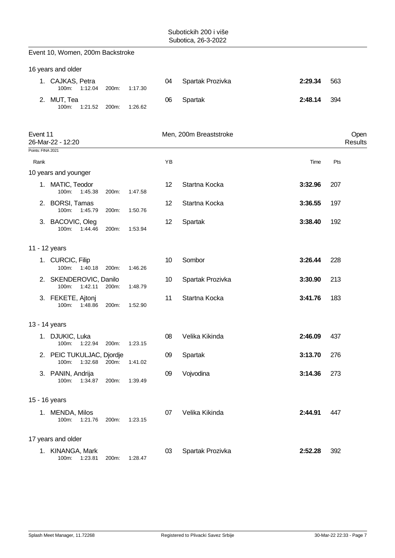|                   | Event 10, Women, 200m Backstroke               |       |         |    |                        |         |                 |
|-------------------|------------------------------------------------|-------|---------|----|------------------------|---------|-----------------|
|                   | 16 years and older                             |       |         |    |                        |         |                 |
|                   | 1. CAJKAS, Petra<br>100m:<br>1:12.04           | 200m: | 1:17.30 | 04 | Spartak Prozivka       | 2:29.34 | 563             |
|                   | 2. MUT, Tea<br>1:21.52<br>100m:                | 200m: | 1:26.62 | 06 | Spartak                | 2:48.14 | 394             |
| Event 11          | 26-Mar-22 - 12:20                              |       |         |    | Men, 200m Breaststroke |         | Open<br>Results |
| Points: FINA 2021 |                                                |       |         |    |                        |         |                 |
| Rank              |                                                |       |         | YB |                        | Time    | Pts             |
|                   | 10 years and younger                           |       |         |    |                        |         |                 |
|                   | 1. MATIC, Teodor<br>100m:<br>1:45.38           | 200m: | 1:47.58 | 12 | Startna Kocka          | 3:32.96 | 207             |
|                   | 2. BORSI, Tamas<br>100m:<br>1:45.79            | 200m: | 1:50.76 | 12 | Startna Kocka          | 3:36.55 | 197             |
|                   | 3. BACOVIC, Oleg<br>100m:<br>1.44.46           | 200m: | 1:53.94 | 12 | Spartak                | 3:38.40 | 192             |
|                   | 11 - 12 years                                  |       |         |    |                        |         |                 |
|                   | 1. CURCIC, Filip<br>100m:<br>1:40.18           | 200m: | 1:46.26 | 10 | Sombor                 | 3:26.44 | 228             |
|                   | 2. SKENDEROVIC, Danilo<br>100m:<br>1:42.11     | 200m: | 1:48.79 | 10 | Spartak Prozivka       | 3:30.90 | 213             |
|                   | 3. FEKETE, Ajtonj<br>100m:<br>1:48.86          | 200m: | 1:52.90 | 11 | Startna Kocka          | 3:41.76 | 183             |
|                   | 13 - 14 years                                  |       |         |    |                        |         |                 |
|                   | 1. DJUKIC, Luka<br>100m: 1:22.94 200m: 1:23.15 |       |         | 08 | Velika Kikinda         | 2:46.09 | 437             |
|                   | 2. PEIC TUKULJAC, Djordje<br>1:32.68<br>100m:  | 200m: | 1:41.02 | 09 | Spartak                | 3:13.70 | 276             |
|                   | 3. PANIN, Andrija<br>100m:<br>1:34.87          | 200m: | 1:39.49 | 09 | Vojvodina              | 3:14.36 | 273             |
|                   | 15 - 16 years                                  |       |         |    |                        |         |                 |
|                   | 1. MENDA, Milos<br>100m:<br>1:21.76            | 200m: | 1:23.15 | 07 | Velika Kikinda         | 2:44.91 | 447             |
|                   | 17 years and older                             |       |         |    |                        |         |                 |
|                   | 1. KINANGA, Mark<br>100m:<br>1:23.81           | 200m: | 1:28.47 | 03 | Spartak Prozivka       | 2:52.28 | 392             |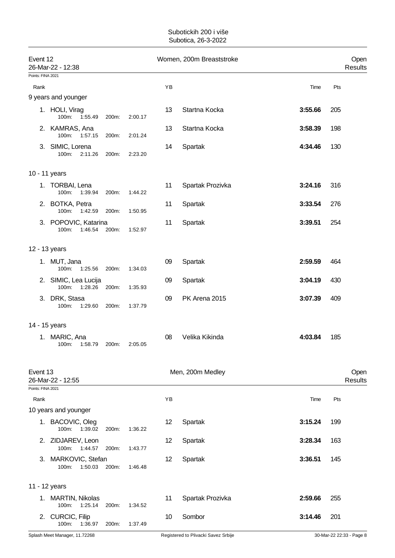| Event 12          | 26-Mar-22 - 12:38                        |       |         |    | Women, 200m Breaststroke |         | Open<br>Results        |  |
|-------------------|------------------------------------------|-------|---------|----|--------------------------|---------|------------------------|--|
| Points: FINA 2021 |                                          |       |         |    |                          |         |                        |  |
| Rank              |                                          |       |         | YB |                          | Time    | Pts                    |  |
|                   | 9 years and younger                      |       |         |    |                          |         |                        |  |
|                   | 1. HOLI, Virag<br>1:55.49<br>100m:       | 200m: | 2:00.17 | 13 | Startna Kocka            | 3:55.66 | 205                    |  |
|                   | 2. KAMRAS, Ana<br>100m: 1:57.15          | 200m: | 2:01.24 | 13 | Startna Kocka            | 3:58.39 | 198                    |  |
|                   | 3. SIMIC, Lorena<br>100m:<br>2:11.26     | 200m: | 2:23.20 | 14 | Spartak                  | 4:34.46 | 130                    |  |
| 10 - 11 years     |                                          |       |         |    |                          |         |                        |  |
|                   | 1. TORBAI, Lena<br>100m:<br>1:39.94      | 200m: | 1:44.22 | 11 | Spartak Prozivka         | 3:24.16 | 316                    |  |
|                   | 2. BOTKA, Petra<br>1:42.59<br>100m:      | 200m: | 1:50.95 | 11 | Spartak                  | 3:33.54 | 276                    |  |
|                   | 3. POPOVIC, Katarina<br>1:46.54<br>100m: | 200m: | 1:52.97 | 11 | Spartak                  | 3:39.51 | 254                    |  |
| 12 - 13 years     |                                          |       |         |    |                          |         |                        |  |
|                   | 1. MUT, Jana<br>100m:<br>1:25.56         | 200m: | 1:34.03 | 09 | Spartak                  | 2:59.59 | 464                    |  |
|                   | 2. SIMIC, Lea Lucija<br>100m:<br>1:28.26 | 200m: | 1:35.93 | 09 | Spartak                  | 3:04.19 | 430                    |  |
|                   | 3. DRK, Stasa<br>100m:<br>1:29.60        | 200m: | 1:37.79 | 09 | PK Arena 2015            | 3:07.39 | 409                    |  |
| 14 - 15 years     |                                          |       |         |    |                          |         |                        |  |
|                   | 1. MARIC, Ana<br>100m:<br>1:58.79        | 200m: | 2:05.05 | 08 | Velika Kikinda           | 4:03.84 | 185                    |  |
| Event 13          | 26-Mar-22 - 12:55                        |       |         |    | Men, 200m Medley         |         | Open<br><b>Results</b> |  |
| Points: FINA 2021 |                                          |       |         |    |                          |         |                        |  |
| Rank              |                                          |       |         | YB |                          | Time    | Pts                    |  |
|                   | 10 years and younger                     |       |         |    |                          |         |                        |  |
|                   | 1. BACOVIC, Oleg<br>100m:<br>1:39.02     | 200m: | 1:36.22 | 12 | Spartak                  | 3:15.24 | 199                    |  |
|                   | 2. ZIDJAREV, Leon<br>100m:<br>1:44.57    | 200m: | 1:43.77 | 12 | Spartak                  | 3:28.34 | 163                    |  |
|                   | 3. MARKOVIC, Stefan<br>1:50.03<br>100m:  | 200m: | 1:46.48 | 12 | Spartak                  | 3:36.51 | 145                    |  |
| 11 - 12 years     |                                          |       |         |    |                          |         |                        |  |
|                   | 1. MARTIN, Nikolas<br>100m:<br>1.25.14   | 200m: | 1:34.52 | 11 | Spartak Prozivka         | 2:59.66 | 255                    |  |
|                   | 2. CURCIC, Filip<br>100m:<br>1:36.97     | 200m: | 1:37.49 | 10 | Sombor                   | 3:14.46 | 201                    |  |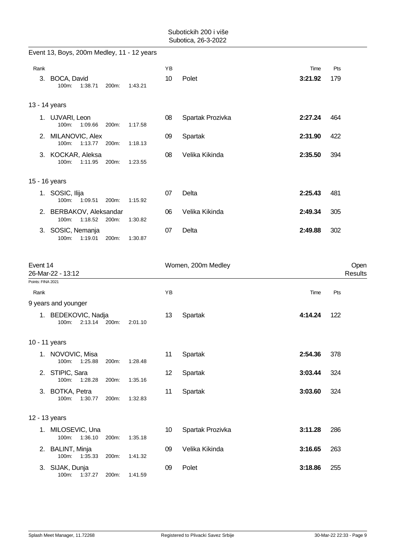|                   | Event 13, Boys, 200m Medley, 11 - 12 years    |       |         |    |                    |         |                 |
|-------------------|-----------------------------------------------|-------|---------|----|--------------------|---------|-----------------|
| Rank              |                                               |       |         | YB |                    | Time    | Pts             |
|                   | 3. BOCA, David<br>100m:<br>1:38.71            | 200m: | 1:43.21 | 10 | Polet              | 3:21.92 | 179             |
|                   | 13 - 14 years                                 |       |         |    |                    |         |                 |
|                   | 1. UJVARI, Leon<br>100m:<br>1:09.66           | 200m: | 1:17.58 | 08 | Spartak Prozivka   | 2:27.24 | 464             |
|                   | 2. MILANOVIC, Alex<br>100m:<br>1:13.77        | 200m: | 1:18.13 | 09 | Spartak            | 2:31.90 | 422             |
|                   | 3. KOCKAR, Aleksa<br>100m:<br>1:11.95         | 200m: | 1:23.55 | 08 | Velika Kikinda     | 2:35.50 | 394             |
|                   | 15 - 16 years                                 |       |         |    |                    |         |                 |
|                   | 1. SOSIC, Ilija<br>100m:<br>1:09.51           | 200m: | 1:15.92 | 07 | Delta              | 2:25.43 | 481             |
|                   | 2. BERBAKOV, Aleksandar<br>1:18.52<br>100m:   | 200m: | 1:30.82 | 06 | Velika Kikinda     | 2:49.34 | 305             |
|                   | 3. SOSIC, Nemanja<br>100m:<br>1:19.01         | 200m: | 1:30.87 | 07 | Delta              | 2:49.88 | 302             |
| Event 14          | 26-Mar-22 - 13:12                             |       |         |    | Women, 200m Medley |         | Open<br>Results |
| Points: FINA 2021 |                                               |       |         |    |                    |         |                 |
| Rank              | 9 years and younger                           |       |         | YB |                    | Time    | Pts             |
|                   | 1. BEDEKOVIC, Nadja<br>2:13.14 200m:<br>100m: |       | 2:01.10 | 13 | Spartak            | 4:14.24 | 122             |
|                   | 10 - 11 years                                 |       |         |    |                    |         |                 |
|                   | 1. NOVOVIC, Misa<br>100m:<br>1:25.88          | 200m: | 1:28.48 | 11 | Spartak            | 2:54.36 | 378             |
|                   | 2. STIPIC, Sara<br>100m:<br>1:28.28           | 200m: | 1:35.16 | 12 | Spartak            | 3:03.44 | 324             |
|                   | 3. BOTKA, Petra<br>100m:<br>1:30.77           | 200m: | 1:32.83 | 11 | Spartak            | 3:03.60 | 324             |
|                   | 12 - 13 years                                 |       |         |    |                    |         |                 |
|                   | 1. MILOSEVIC, Una<br>100m:<br>1:36.10         | 200m: | 1:35.18 | 10 | Spartak Prozivka   | 3:11.28 | 286             |
|                   | 2. BALINT, Minja<br>100m:<br>1:35.33          | 200m: | 1:41.32 | 09 | Velika Kikinda     | 3:16.65 | 263             |
|                   | 3. SIJAK, Dunja                               |       |         | 09 | Polet              | 3:18.86 | 255             |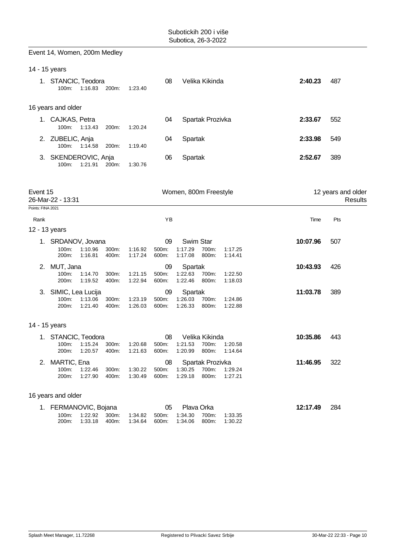|                   | Event 14, Women, 200m Medley                                  |                                      |                      |                                                                                                          |          |                               |
|-------------------|---------------------------------------------------------------|--------------------------------------|----------------------|----------------------------------------------------------------------------------------------------------|----------|-------------------------------|
|                   | 14 - 15 years                                                 |                                      |                      |                                                                                                          |          |                               |
|                   | 1. STANCIC, Teodora<br>1:16.83<br>100m:                       | 200m:<br>1:23.40                     | 08                   | Velika Kikinda                                                                                           | 2:40.23  | 487                           |
|                   | 16 years and older                                            |                                      |                      |                                                                                                          |          |                               |
|                   | 1. CAJKAS, Petra<br>100m:<br>1:13.43                          | 1:20.24<br>200m:                     | 04                   | Spartak Prozivka                                                                                         | 2:33.67  | 552                           |
|                   | 2. ZUBELIC, Anja<br>100m: 1:14.58                             | 1:19.40<br>200m:                     | 04                   | Spartak                                                                                                  | 2:33.98  | 549                           |
|                   | 3. SKENDEROVIC, Anja<br>100m:<br>1:21.91                      | 200m:<br>1:30.76                     | 06                   | Spartak                                                                                                  | 2:52.67  | 389                           |
| Event 15          | 26-Mar-22 - 13:31                                             |                                      |                      | Women, 800m Freestyle                                                                                    |          | 12 years and older<br>Results |
| Points: FINA 2021 |                                                               |                                      |                      |                                                                                                          |          |                               |
| Rank              |                                                               |                                      | ΥB                   |                                                                                                          | Time     | Pts                           |
|                   | 12 - 13 years                                                 |                                      |                      |                                                                                                          |          |                               |
|                   | 1. SRDANOV, Jovana<br>100m:<br>1:10.96<br>200m:<br>1:16.81    | 300m:<br>1:16.92<br>400m:<br>1:17.24 | 09<br>500m:<br>600m: | Swim Star<br>1:17.29<br>700m:<br>1:17.25<br>1:17.08<br>800m:<br>1:14.41                                  | 10:07.96 | 507                           |
|                   | 2. MUT, Jana<br>100m:<br>1:14.70<br>200m:<br>1:19.52          | 1:21.15<br>300m:<br>400m:<br>1:22.94 | 09<br>500m:<br>600m: | Spartak<br>1:22.63<br>700m:<br>1:22.50<br>1:22.46<br>800m:<br>1:18.03                                    | 10:43.93 | 426                           |
|                   | 3. SIMIC, Lea Lucija<br>100m:<br>1:13.06<br>200m:<br>1:21.40  | 300m:<br>1:23.19<br>1:26.03<br>400m: | 09<br>500m:<br>600m: | Spartak<br>1:26.03<br>700m:<br>1:24.86<br>1:26.33<br>800m:<br>1:22.88                                    | 11:03.78 | 389                           |
|                   | 14 - 15 years                                                 |                                      |                      |                                                                                                          |          |                               |
|                   | 1. STANCIC, Teodora<br>200m:<br>1:20.57                       | 400m:<br>1:21.63                     | 08<br>600m:          | Velika Kikinda<br>100m: 1:15.24 300m: 1:20.68 500m: 1:21.53 700m: 1:20.58<br>1:20.99<br>800m:<br>1:14.64 | 10:35.86 | 443                           |
|                   | 2. MARTIC, Ena<br>100m:<br>1:22.46<br>200m:<br>1:27.90        | 300m:<br>1:30.22<br>1:30.49<br>400m: | 08<br>500m:<br>600m: | Spartak Prozivka<br>700m:<br>1:30.25<br>1:29.24<br>1:29.18<br>800m:<br>1:27.21                           | 11:46.95 | 322                           |
|                   | 16 years and older                                            |                                      |                      |                                                                                                          |          |                               |
|                   | 1. FERMANOVIC, Bojana<br>1:22.92<br>100m:<br>200m:<br>1:33.18 | 300m:<br>1:34.82<br>400m:<br>1:34.64 | 05<br>500m:<br>600m: | Plava Orka<br>700m:<br>1:34.30<br>1:33.35<br>800m:<br>1:34.06<br>1:30.22                                 | 12:17.49 | 284                           |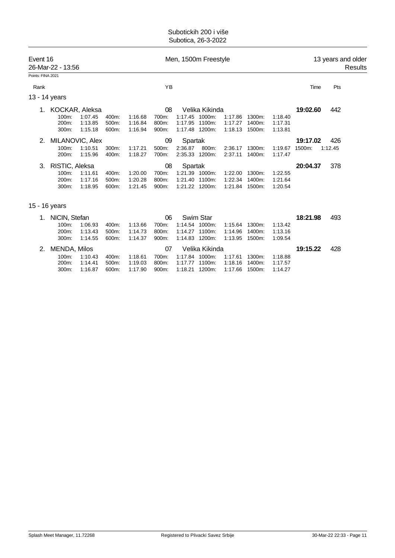| Event 16          | 26-Mar-22 - 13:56       |                               |                         | Men, 1500m Freestyle          |                         |         |                                            |                               |                            |                               | 13 years and older<br>Results |         |  |
|-------------------|-------------------------|-------------------------------|-------------------------|-------------------------------|-------------------------|---------|--------------------------------------------|-------------------------------|----------------------------|-------------------------------|-------------------------------|---------|--|
| Points: FINA 2021 |                         |                               |                         |                               |                         |         |                                            |                               |                            |                               |                               |         |  |
| Rank              |                         |                               |                         |                               | ΥB                      |         |                                            |                               |                            |                               | Time                          | Pts     |  |
|                   | 13 - 14 years           |                               |                         |                               |                         |         |                                            |                               |                            |                               |                               |         |  |
| KOCKAR, Aleksa    |                         |                               |                         |                               | 08                      |         | Velika Kikinda                             |                               |                            |                               | 19:02.60                      | 442     |  |
|                   | 100m:<br>200m:<br>300m: | 1:07.45<br>1:13.85<br>1:15.18 | 400m:<br>500m:<br>600m: | 1:16.68<br>1:16.84<br>1:16.94 | 700m:<br>800m:<br>900m: | 1:17.95 | 1:17.45 1000m:<br>1100m:<br>1:17.48 1200m: | 1:17.86<br>1:17.27<br>1:18.13 | 1300m:<br>1400m:<br>1500m: | 1:18.40<br>1:17.31<br>1:13.81 |                               |         |  |
| 2.                | MILANOVIC, Alex         |                               |                         |                               | 09                      | Spartak |                                            |                               |                            |                               | 19:17.02                      | 426     |  |
|                   | 100m:<br>200m:          | 1:10.51<br>1.15.96            | 300m:<br>400m:          | 1:17.21<br>1:18.27            | 500m:<br>700m:          | 2:36.87 | 800m:<br>2:35.33 1200m:                    | 2:36.17<br>2:37.11            | 1300m:<br>1400m:           | 1:19.67<br>1:17.47            | 1500m:                        | 1:12.45 |  |
| 3.                | RISTIC, Aleksa          |                               |                         |                               | 08                      | Spartak |                                            |                               |                            |                               | 20:04.37                      | 378     |  |
|                   | 100m:                   | 1:11.61                       | 400m:                   | 1:20.00                       | 700m:                   |         | 1:21.39 1000m:                             | 1:22.00                       | 1300m:                     | 1:22.55                       |                               |         |  |
|                   | 200m:                   | 1:17.16                       | 500m:                   | 1:20.28                       | 800m:                   | 1:21.40 | 1100m:                                     | 1:22.34                       | 1400m:                     | 1:21.64                       |                               |         |  |
|                   | 300m:                   | 1:18.95                       | 600m:                   | 1:21.45                       | 900m:                   |         | 1:21.22 1200m:                             | 1:21.84                       | 1500m:                     | 1:20.54                       |                               |         |  |
|                   | 15 - 16 years           |                               |                         |                               |                         |         |                                            |                               |                            |                               |                               |         |  |

| NICIN, Stefan   |         |          |         | 06    |                | Swim Star      |         |           |         | 18:21.98 | 493 |
|-----------------|---------|----------|---------|-------|----------------|----------------|---------|-----------|---------|----------|-----|
| 100m:           | 1:06.93 | 400m:    | 1:13.66 | 700m: | 1:14.54        | 1000m:         | 1.15.64 | 1300m:    | 1:13.42 |          |     |
| $200m$ :        | 1:13.43 | $500m$ : | 1:14.73 | 800m: | 1:14.27        | 1100m:         | 1:14.96 | 1400m:    | 1:13.16 |          |     |
| $300m$ :        | 1:14.55 | 600m:    | 1:14.37 | 900m: | 1:14.83 1200m: |                | 1:13.95 | 1500m:    | 1:09.54 |          |     |
|                 |         |          |         |       |                |                |         |           |         |          |     |
| 2. MENDA, Milos |         |          |         | 07    |                | Velika Kikinda |         |           |         | 19:15.22 | 428 |
| 100m:           | 1:10.43 | 400m:    | 1:18.61 | 700m: | 1:17.84        | $1000m$ :      | 1:17.61 | $1300m$ : | 1:18.88 |          |     |
| $200m$ :        | 1:14.41 | $500m$ : | 1:19.03 | 800m: | 1:17.77        | 1100m:         | 1:18.16 | 1400m:    | 1:17.57 |          |     |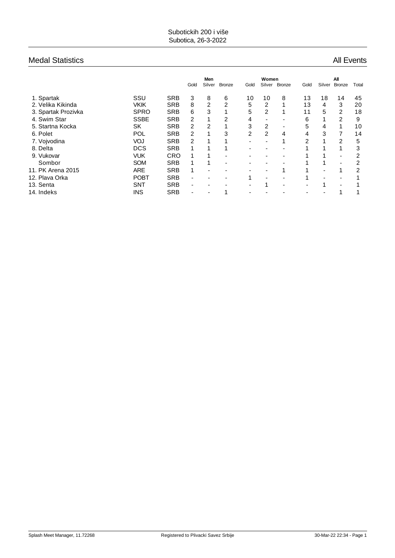#### Medal Statistics **All Events** All Events

|                     |             |            |                          | Men            |               |                | Women          |               |      |        | All                      |       |
|---------------------|-------------|------------|--------------------------|----------------|---------------|----------------|----------------|---------------|------|--------|--------------------------|-------|
|                     |             |            | Gold                     | Silver         | <b>Bronze</b> | Gold           | Silver         | <b>Bronze</b> | Gold | Silver | <b>Bronze</b>            | Total |
| 1. Spartak          | SSU         | <b>SRB</b> | 3                        | 8              | 6             | 10             | 10             | 8             | 13   | 18     | 14                       | 45    |
| 2. Velika Kikinda   | <b>VKIK</b> | <b>SRB</b> | 8                        | 2              | 2             | 5              | 2              |               | 13   | 4      | 3                        | 20    |
| 3. Spartak Prozivka | <b>SPRO</b> | <b>SRB</b> | 6                        | 3              |               | 5              | $\overline{2}$ |               | 11   | 5      | $\overline{2}$           | 18    |
| 4. Swim Star        | <b>SSBE</b> | <b>SRB</b> | 2                        | 1              | 2             | 4              |                |               | 6    | 1      | $\overline{2}$           | 9     |
| 5. Startna Kocka    | SK          | <b>SRB</b> | 2                        | 2              |               | 3              | $\overline{2}$ | -             | 5    | 4      |                          | 10    |
| 6. Polet            | POL         | <b>SRB</b> | 2                        | 1              | 3             | $\overline{2}$ | $\overline{2}$ | 4             | 4    | 3      |                          | 14    |
| 7. Vojvodina        | VOJ         | <b>SRB</b> | 2                        |                |               | ۰              |                |               | 2    |        | 2                        | 5     |
| 8. Delta            | <b>DCS</b>  | <b>SRB</b> |                          |                |               | ۰              |                |               |      |        |                          | 3     |
| 9. Vukovar          | <b>VUK</b>  | <b>CRO</b> | 1                        | 1              | -             | -              |                |               |      |        | $\blacksquare$           | 2     |
| Sombor              | <b>SOM</b>  | <b>SRB</b> |                          |                | ۰             | ۰              |                |               |      |        | $\overline{\phantom{a}}$ | 2     |
| 11. PK Arena 2015   | <b>ARE</b>  | <b>SRB</b> | 1                        | $\blacksquare$ |               | -              |                |               |      | ۰      |                          | 2     |
| 12. Plava Orka      | <b>POBT</b> | <b>SRB</b> | ٠                        |                |               |                |                |               |      |        | $\blacksquare$           |       |
| 13. Senta           | <b>SNT</b>  | <b>SRB</b> | $\overline{\phantom{a}}$ | -              |               | -              |                |               | -    | 1      | $\overline{\phantom{a}}$ |       |
| 14. Indeks          | <b>INS</b>  | <b>SRB</b> | ٠                        |                |               |                |                |               |      |        |                          |       |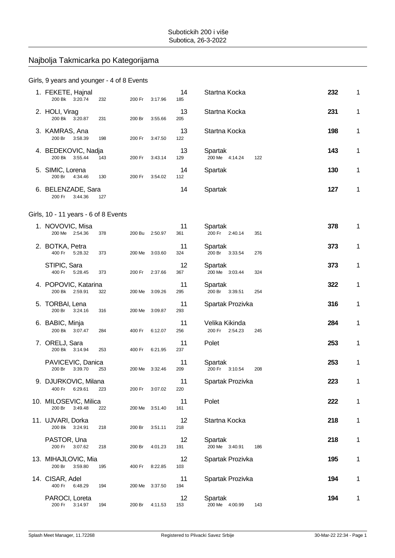### Najbolja Takmicarka po Kategorijama

#### Girls, 9 years and younger - 4 of 8 Events

| 1. FEKETE, Hajnal<br>200 Bk 3:20.74        | 232 | 200 Fr | 3:17.96        | 14<br>185 | Startna Kocka                       |     | 232 | 1 |
|--------------------------------------------|-----|--------|----------------|-----------|-------------------------------------|-----|-----|---|
| 2. HOLI, Virag<br>200 Bk 3:20.87           | 231 | 200 Br | 3:55.66        | 13<br>205 | Startna Kocka                       |     | 231 | 1 |
| 3. KAMRAS, Ana<br>200 Br<br>3:58.39        | 198 | 200 Fr | 3:47.50        | 13<br>122 | Startna Kocka                       |     | 198 | 1 |
| 4. BEDEKOVIC, Nadja<br>200 Bk 3:55.44      | 143 | 200 Fr | 3:43.14        | 13<br>129 | Spartak<br>200 Me 4:14.24           | 122 | 143 | 1 |
| 5. SIMIC, Lorena<br>200 Br<br>4:34.46      | 130 | 200 Fr | 3:54.02        | 14<br>112 | Spartak                             |     | 130 | 1 |
| 6. BELENZADE, Sara<br>200 Fr<br>3:44.36    | 127 |        |                | 14        | Spartak                             |     | 127 | 1 |
| Girls, 10 - 11 years - 6 of 8 Events       |     |        |                |           |                                     |     |     |   |
| 1. NOVOVIC, Misa<br>200 Me 2:54.36         | 378 |        | 200 Bu 2:50.97 | 11<br>361 | Spartak<br>200 Fr 2:40.14           | 351 | 378 | 1 |
| 2. BOTKA, Petra<br>400 Fr 5:28.32          | 373 |        | 200 Me 3:03.60 | 11<br>324 | Spartak<br>200 Br 3:33.54           | 276 | 373 | 1 |
| STIPIC, Sara<br>400 Fr 5:28.45             | 373 | 200 Fr | 2:37.66        | 12<br>367 | Spartak<br>200 Me 3:03.44           | 324 | 373 | 1 |
| 4. POPOVIC, Katarina<br>200 Bk 2:59.91     | 322 |        | 200 Me 3:09.26 | 11<br>295 | Spartak<br>200 Br 3:39.51           | 254 | 322 | 1 |
| 5. TORBAI, Lena<br>200 Br<br>3:24.16       | 316 | 200 Me | 3:09.87        | 11<br>293 | Spartak Prozivka                    |     | 316 | 1 |
| 6. BABIC, Minja<br>200 Bk 3:07.47          | 284 | 400 Fr | 6:12.07        | 11<br>256 | Velika Kikinda<br>200 Fr<br>2:54.23 | 245 | 284 | 1 |
| 7. ORELJ, Sara<br>200 Bk 3:14.94           | 253 | 400 Fr | 6:21.95        | 11<br>237 | Polet                               |     | 253 | 1 |
| PAVICEVIC, Danica<br>3:39.70<br>200 Br     | 253 | 200 Me | 3:32.46        | 11<br>209 | Spartak<br>200 Fr 3:10.54           | 208 | 253 | 1 |
| 9. DJURKOVIC, Milana<br>400 Fr<br>6:29.61  | 223 | 200 Fr | 3:07.02        | 11<br>220 | Spartak Prozivka                    |     | 223 | 1 |
| 10. MILOSEVIC, Milica<br>200 Br<br>3:49.48 | 222 | 200 Me | 3:51.40        | 11<br>161 | Polet                               |     | 222 | 1 |
| 11. UJVARI, Dorka<br>200 Bk 3:24.91        | 218 | 200 Br | 3:51.11        | 12<br>218 | Startna Kocka                       |     | 218 | 1 |
| PASTOR, Una<br>200 Fr<br>3:07.62           | 218 | 200 Br | 4:01.23        | 12<br>191 | Spartak<br>200 Me 3:40.91           | 186 | 218 | 1 |
| 13. MIHAJLOVIC, Mia<br>200 Br<br>3:59.80   | 195 | 400 Fr | 8:22.85        | 12<br>103 | Spartak Prozivka                    |     | 195 | 1 |
| 14. CISAR, Adel<br>400 Fr<br>6:48.29       | 194 | 200 Me | 3:37.50        | 11<br>194 | Spartak Prozivka                    |     | 194 | 1 |
| PAROCI, Loreta<br>200 Fr<br>3:14.97        | 194 | 200 Br | 4:11.53        | 12<br>153 | Spartak<br>200 Me 4:00.99           | 143 | 194 | 1 |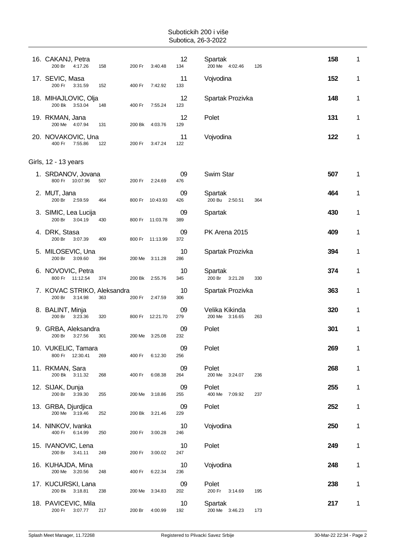| 16. CAKANJ, Petra<br>200 Br<br>4:17.26           | 158 | 200 Fr | 3:40.48         | 12<br>134 | Spartak<br>200 Me 4:02.46        | 126 | 158 | 1 |
|--------------------------------------------------|-----|--------|-----------------|-----------|----------------------------------|-----|-----|---|
| 17. SEVIC, Masa<br>200 Fr<br>3:31.59             | 152 | 400 Fr | 7:42.92         | 11<br>133 | Vojvodina                        |     | 152 | 1 |
| 18. MIHAJLOVIC, Olja<br>200 Bk<br>3:53.04        | 148 | 400 Fr | 7:55.24         | 12<br>123 | Spartak Prozivka                 |     | 148 | 1 |
| 19. RKMAN, Jana<br>200 Me 4:07.94                | 131 | 200 Bk | 4:03.76         | 12<br>129 | Polet                            |     | 131 | 1 |
| 20. NOVAKOVIC, Una<br>400 Fr<br>7:55.86          | 122 | 200 Fr | 3:47.24         | 11<br>122 | Vojvodina                        |     | 122 | 1 |
| Girls, 12 - 13 years                             |     |        |                 |           |                                  |     |     |   |
| 1. SRDANOV, Jovana<br>800 Fr 10:07.96            | 507 | 200 Fr | 2:24.69         | 09<br>476 | Swim Star                        |     | 507 | 1 |
| 2. MUT, Jana<br>200 Br<br>2:59.59                | 464 |        | 800 Fr 10:43.93 | 09<br>426 | Spartak<br>200 Bu 2:50.51        | 364 | 464 | 1 |
| 3. SIMIC, Lea Lucija<br>200 Br<br>3:04.19        | 430 |        | 800 Fr 11:03.78 | 09<br>389 | Spartak                          |     | 430 | 1 |
| 4. DRK, Stasa<br>200 Br<br>3:07.39               | 409 |        | 800 Fr 11:13.99 | 09<br>372 | PK Arena 2015                    |     | 409 | 1 |
| 5. MILOSEVIC, Una<br>200 Br<br>3:09.60           | 394 | 200 Me | 3:11.28         | 10<br>286 | Spartak Prozivka                 |     | 394 | 1 |
| 6. NOVOVIC, Petra<br>800 Fr 11:12.54             | 374 | 200 Bk | 2:55.76         | 10<br>345 | Spartak<br>200 Br 3:21.28        | 330 | 374 | 1 |
| 7. KOVAC STRIKO, Aleksandra<br>200 Br<br>3:14.98 | 363 | 200 Fr | 2:47.59         | 10<br>306 | Spartak Prozivka                 |     | 363 | 1 |
| 8. BALINT, Minja<br>200 Br<br>3:23.36            | 320 |        | 800 Fr 12:21.70 | 09<br>279 | Velika Kikinda<br>200 Me 3:16.65 | 263 | 320 | 1 |
| 9. GRBA, Aleksandra<br>200 Br<br>3:27.56         | 301 | 200 Me | 3:25.08         | 09<br>232 | Polet                            |     | 301 | 1 |
| 10. VUKELIC, Tamara<br>800 Fr 12:30.41           | 269 | 400 Fr | 6:12.30         | 09<br>256 | Polet                            |     | 269 | 1 |
| 11. RKMAN, Sara<br>200 Bk 3:11.32                | 268 | 400 Fr | 6:08.38         | 09<br>264 | Polet<br>200 Me 3:24.07          | 236 | 268 | 1 |
| 12. SIJAK, Dunja<br>200 Br<br>3:39.30            | 255 | 200 Me | 3:18.86         | 09<br>255 | Polet<br>400 Me<br>7:09.92       | 237 | 255 | 1 |
| 13. GRBA, Djurdjica<br>200 Me 3:19.46            | 252 | 200 Bk | 3:21.46         | 09<br>229 | Polet                            |     | 252 | 1 |
| 14. NINKOV, Ivanka<br>400 Fr 6:14.99             | 250 | 200 Fr | 3:00.28         | 10<br>246 | Vojvodina                        |     | 250 | 1 |
| 15. IVANOVIC, Lena<br>200 Br<br>3:41.11          | 249 | 200 Fr | 3:00.02         | 10<br>247 | Polet                            |     | 249 | 1 |
|                                                  |     |        |                 | 10        | Vojvodina                        |     | 248 | 1 |
| 16. KUHAJDA, Mina<br>200 Me 3:20.56              | 248 | 400 Fr | 6:22.34         | 236       |                                  |     |     |   |
| 17. KUCURSKI, Lana<br>200 Bk 3:18.81             | 238 | 200 Me | 3:34.83         | 09<br>202 | Polet<br>200 Fr<br>3:14.69       | 195 | 238 | 1 |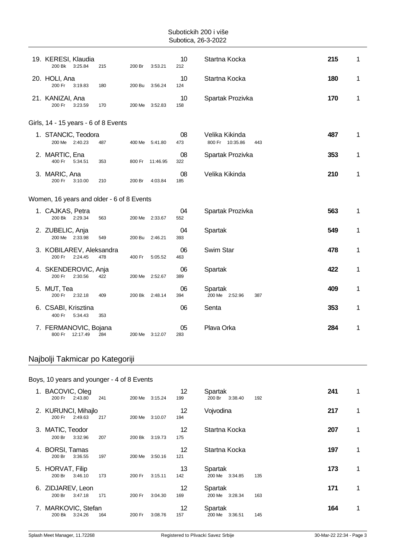| 19. KERESI, Klaudia<br>200 Bk 3:25.84       | 215 | 200 Br         | 3:53.21  | 10<br>212 | Startna Kocka                            | 215 | 1           |
|---------------------------------------------|-----|----------------|----------|-----------|------------------------------------------|-----|-------------|
| 20. HOLI, Ana<br>200 Fr<br>3:19.83          | 180 | 200 Bu         | 3:56.24  | 10<br>124 | Startna Kocka                            | 180 | 1           |
| 21. KANIZAI, Ana<br>200 Fr<br>3:23.59       | 170 | 200 Me         | 3:52.83  | 10<br>158 | Spartak Prozivka                         | 170 | 1           |
| Girls, 14 - 15 years - 6 of 8 Events        |     |                |          |           |                                          |     |             |
| 1. STANCIC, Teodora<br>200 Me 2:40.23       | 487 | 400 Me 5:41.80 |          | 08<br>473 | Velika Kikinda<br>800 Fr 10:35.86<br>443 | 487 | 1           |
| 2. MARTIC, Ena<br>400 Fr<br>5:34.51         | 353 | 800 Fr         | 11:46.95 | 08<br>322 | Spartak Prozivka                         | 353 | 1           |
| 3. MARIC, Ana<br>200 Fr<br>3:10.00          | 210 | 200 Br         | 4:03.84  | 08<br>185 | Velika Kikinda                           | 210 | 1           |
| Women, 16 years and older - 6 of 8 Events   |     |                |          |           |                                          |     |             |
| 1. CAJKAS, Petra<br>200 Bk 2:29.34          | 563 | 200 Me 2:33.67 |          | 04<br>552 | Spartak Prozivka                         | 563 | 1           |
| 2. ZUBELIC, Anja<br>200 Me 2:33.98          | 549 | 200 Bu         | 2:46.21  | 04<br>393 | Spartak                                  | 549 | 1           |
| 3. KOBILAREV, Aleksandra<br>200 Fr 2:24.45  | 478 | 400 Fr         | 5:05.52  | 06<br>463 | Swim Star                                | 478 | 1           |
| 4. SKENDEROVIC, Anja<br>200 Fr<br>2:30.56   | 422 | 200 Me 2:52.67 |          | 06<br>389 | Spartak                                  | 422 | 1           |
| 5. MUT, Tea<br>200 Fr<br>2:32.18            | 409 | 200 Bk 2:48.14 |          | 06<br>394 | Spartak<br>200 Me 2:52.96<br>387         | 409 | $\mathbf 1$ |
| 6. CSABI, Krisztina<br>400 Fr<br>5:34.43    | 353 |                |          | 06        | Senta                                    | 353 | 1           |
| 7. FERMANOVIC, Bojana<br>800 Fr<br>12:17.49 | 284 | 200 Me 3:12.07 |          | 05<br>283 | Plava Orka                               | 284 | 1           |

## Najbolji Takmicar po Kategoriji

#### Boys, 10 years and younger - 4 of 8 Events

| 1. BACOVIC, Oleg<br>200 Fr<br>2:43.80    | 241 | 200 Me | 3:15.24 | 12<br>199                | Spartak<br>200 Br<br>3:38.40 | 192 | 241 | 1 |
|------------------------------------------|-----|--------|---------|--------------------------|------------------------------|-----|-----|---|
| 2. KURUNCI, Mihajlo<br>2:49.63<br>200 Fr | 217 | 200 Me | 3:10.07 | 12<br>194                | Vojvodina                    |     | 217 | 1 |
| 3. MATIC, Teodor<br>200 Br<br>3:32.96    | 207 | 200 Bk | 3:19.73 | $12 \overline{ }$<br>175 | Startna Kocka                |     | 207 | 1 |
| 4. BORSI, Tamas<br>200 Br<br>3:36.55     | 197 | 200 Me | 3:50.16 | 12<br>121                | Startna Kocka                |     | 197 | 1 |
| 5. HORVAT, Filip<br>200 Br<br>3:46.10    | 173 | 200 Fr | 3:15.11 | 13<br>142                | Spartak<br>200 Me<br>3:34.85 | 135 | 173 | 1 |
| 6. ZIDJAREV, Leon<br>200 Br<br>3:47.18   | 171 | 200 Fr | 3:04.30 | 12<br>169                | Spartak<br>200 Me<br>3:28.34 | 163 | 171 | 1 |
| 7. MARKOVIC, Stefan<br>200 Bk<br>3:24.26 | 164 | 200 Fr | 3:08.76 | 12<br>157                | Spartak<br>200 Me<br>3:36.51 | 145 | 164 | 1 |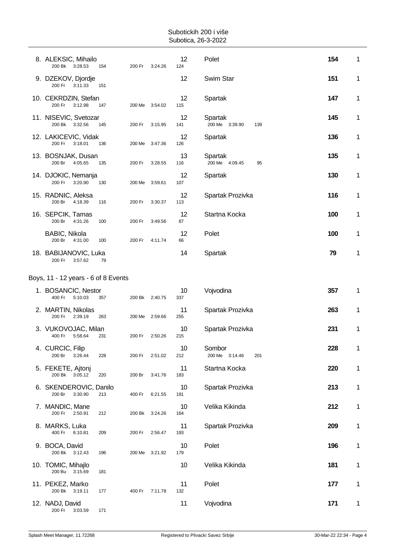| 8. ALEKSIC, Mihailo<br>200 Bk 3:28.53      | 154 | 200 Fr         | 3:24.26 | 12<br>124 | Polet                            | 154 | 1 |
|--------------------------------------------|-----|----------------|---------|-----------|----------------------------------|-----|---|
| 9. DZEKOV, Djordje<br>200 Fr<br>3:11.33    | 151 |                |         | 12        | Swim Star                        | 151 | 1 |
| 10. CEKRDZIN, Stefan<br>200 Fr<br>3:12.98  | 147 | 200 Me 3:54.02 |         | 12<br>115 | Spartak                          | 147 | 1 |
| 11. NISEVIC, Svetozar<br>200 Bk 3:32.56    | 145 | 200 Fr         | 3:15.95 | 12<br>141 | Spartak<br>200 Me 3:39.90<br>139 | 145 | 1 |
| 12. LAKICEVIC, Vidak<br>200 Fr<br>3:18.01  | 136 | 200 Me 3:47.36 |         | 12<br>126 | Spartak                          | 136 | 1 |
| 13. BOSNJAK, Dusan<br>200 Br<br>4:05.65    | 135 | 200 Fr         | 3:28.55 | 13<br>116 | Spartak<br>200 Me 4:09.45<br>95  | 135 | 1 |
| 14. DJOKIC, Nemanja<br>200 Fr<br>3:20.90   | 130 | 200 Me 3:59.61 |         | 12<br>107 | Spartak                          | 130 | 1 |
| 15. RADNIC, Aleksa<br>200 Br<br>4:18.39    | 116 | 200 Fr         | 3:30.37 | 12<br>113 | Spartak Prozivka                 | 116 | 1 |
| 16. SEPCIK, Tamas<br>200 Br<br>4:31.26     | 100 | 200 Fr         | 3:49.56 | 12<br>87  | Startna Kocka                    | 100 | 1 |
| BABIC, Nikola<br>200 Br<br>4:31.00         | 100 | 200 Fr         | 4:11.74 | 12<br>66  | Polet                            | 100 | 1 |
| 18. BABIJANOVIC, Luka<br>200 Fr<br>3:57.62 | 79  |                |         | 14        | Spartak                          | 79  | 1 |
| Boys, 11 - 12 years - 6 of 8 Events        |     |                |         |           |                                  |     |   |
| 1. BOSANCIC, Nestor<br>400 Fr<br>5:10.03   | 357 | 200 Bk 2:40.75 |         | 10<br>337 | Vojvodina                        | 357 | 1 |
| 2. MARTIN, Nikolas<br>200 Fr<br>2:39.19    | 263 | 200 Me 2:59.66 |         | 11<br>255 | Spartak Prozivka                 | 263 | 1 |
|                                            |     |                |         |           |                                  |     |   |

| Swim Star                        | 151 | 1            |
|----------------------------------|-----|--------------|
| Spartak                          | 147 | $\mathbf{1}$ |
| Spartak<br>200 Me 3:39.90<br>139 | 145 | 1            |
| Spartak                          | 136 | 1            |
| Spartak<br>200 Me 4:09.45<br>95  | 135 | $\mathbf{1}$ |
| Spartak                          | 130 | 1            |
| Spartak Prozivka                 | 116 | 1            |
| Startna Kocka                    | 100 | 1            |
| <sup>o</sup> olet                | 100 | 1            |
| Spartak                          | 79  | 1            |
|                                  |     |              |

| 1. BOSANCIC, Nestor<br>400 Fr<br>5:10.03    | 357 | 200 Bk 2:40.75 |         | 10<br>337 | Vojvodina                       | 357 | 1 |
|---------------------------------------------|-----|----------------|---------|-----------|---------------------------------|-----|---|
| 2. MARTIN, Nikolas<br>200 Fr<br>2:39.19     | 263 | 200 Me 2:59.66 |         | 11<br>255 | Spartak Prozivka                | 263 | 1 |
| 3. VUKOVOJAC, Milan<br>400 Fr<br>5:58.64    | 231 | 200 Fr         | 2:50.26 | 10<br>215 | Spartak Prozivka                | 231 | 1 |
| 4. CURCIC, Filip<br>200 Br<br>3:26.44       | 228 | 200 Fr         | 2:51.02 | 10<br>212 | Sombor<br>200 Me 3:14.46<br>201 | 228 | 1 |
| 5. FEKETE, Ajtonj<br>200 Bk 3:05.12         | 220 | 200 Br         | 3:41.76 | 11<br>183 | Startna Kocka                   | 220 | 1 |
| 6. SKENDEROVIC, Danilo<br>200 Br<br>3:30.90 | 213 | 400 Fr         | 6:21.55 | 10<br>191 | Spartak Prozivka                | 213 | 1 |
| 7. MANDIC, Mane<br>200 Fr<br>2:50.91        | 212 | 200 Bk         | 3:24.26 | 10<br>164 | Velika Kikinda                  | 212 | 1 |
| 8. MARKS, Luka<br>6:10.81<br>400 Fr         | 209 | 200 Fr         | 2:56.47 | 11<br>193 | Spartak Prozivka                | 209 | 1 |
| 9. BOCA, David<br>200 Bk 3:12.43            | 196 | 200 Me         | 3:21.92 | 10<br>179 | Polet                           | 196 | 1 |
| 10. TOMIC, Mihajlo<br>200 Bu 3:15.69        | 181 |                |         | 10        | Velika Kikinda                  | 181 | 1 |
| 11. PEKEZ, Marko<br>200 Bk 3:19.11          | 177 | 400 Fr         | 7:11.78 | 11<br>132 | Polet                           | 177 | 1 |
| 12. NADJ, David<br>200 Fr<br>3:03.59        | 171 |                |         | 11        | Vojvodina                       | 171 | 1 |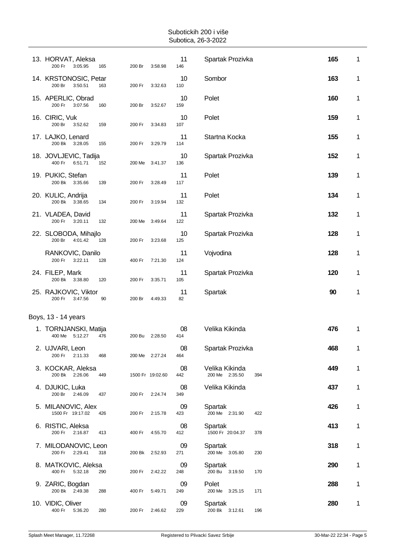| 13. HORVAT, Aleksa<br>200 Fr<br>3:05.95<br>165    | 200 Br<br>3:58.98 | 11<br>146 | Spartak Prozivka                        | 165 | 1 |
|---------------------------------------------------|-------------------|-----------|-----------------------------------------|-----|---|
| 14. KRSTONOSIC, Petar<br>200 Br<br>3:50.51<br>163 | 200 Fr<br>3:32.63 | 10<br>110 | Sombor                                  | 163 | 1 |
| 15. APERLIC, Obrad<br>200 Fr<br>3:07.56<br>160    | 200 Br<br>3:52.67 | 10<br>159 | Polet                                   | 160 | 1 |
| 16. CIRIC, Vuk<br>200 Br<br>3:52.62<br>159        | 200 Fr<br>3:34.83 | 10<br>107 | Polet                                   | 159 | 1 |
| 17. LAJKO, Lenard<br>200 Bk 3:28.05<br>155        | 200 Fr<br>3:29.79 | 11<br>114 | Startna Kocka                           | 155 | 1 |
| 18. JOVLJEVIC, Tadija<br>400 Fr<br>6:51.71<br>152 | 200 Me<br>3:41.37 | 10<br>136 | Spartak Prozivka                        | 152 | 1 |
| 19. PUKIC, Stefan<br>200 Bk 3:35.66<br>139        | 200 Fr<br>3:28.49 | 11<br>117 | Polet                                   | 139 | 1 |
| 20. KULIC, Andrija<br>200 Bk 3:38.65<br>134       | 200 Fr<br>3:19.94 | 11<br>132 | Polet                                   | 134 | 1 |
| 21. VLADEA, David<br>200 Fr<br>3:20.11<br>132     | 200 Me<br>3:49.64 | 11<br>122 | Spartak Prozivka                        | 132 | 1 |
| 22. SLOBODA, Mihajlo<br>200 Br<br>4:01.42<br>128  | 200 Fr<br>3:23.68 | 10<br>125 | Spartak Prozivka                        | 128 | 1 |
| RANKOVIC, Danilo<br>200 Fr<br>3:22.11<br>128      | 400 Fr<br>7:21.30 | 11<br>124 | Vojvodina                               | 128 | 1 |
| 24. FILEP, Mark<br>200 Bk 3:38.80<br>120          | 200 Fr<br>3:35.71 | 11<br>105 | Spartak Prozivka                        | 120 | 1 |
| 25. RAJKOVIC, Viktor<br>200 Fr<br>3:47.56<br>90   | 200 Br<br>4:49.33 | 11<br>82  | Spartak                                 | 90  | 1 |
| Boys, 13 - 14 years                               |                   |           |                                         |     |   |
| 1. TORNJANSKI, Matija<br>400 Me 5:12.27<br>476    | 200 Bu<br>2:28.50 | 08        | Velika Kikinda                          | 476 | 1 |
|                                                   |                   | 414       |                                         |     |   |
| 2. UJVARI, Leon<br>200 Fr 2:11.33<br>468          | 200 Me 2:27.24    | 08<br>464 | Spartak Prozivka                        | 468 | 1 |
| 3. KOCKAR, Aleksa<br>200 Bk 2:26.06<br>449        | 1500 Fr 19:02.60  | 08<br>442 | Velika Kikinda<br>200 Me 2:35.50<br>394 | 449 | 1 |
| 4. DJUKIC, Luka<br>200 Br 2:46.09<br>437          | 200 Fr<br>2:24.74 | 08<br>349 | Velika Kikinda                          | 437 | 1 |
| 5. MILANOVIC, Alex<br>1500 Fr 19:17.02<br>426     | 200 Fr<br>2:15.78 | 09<br>423 | Spartak<br>200 Me 2:31.90<br>422        | 426 | 1 |
| 6. RISTIC, Aleksa<br>200 Fr 2:16.87<br>413        | 400 Fr<br>4:55.70 | 08<br>412 | Spartak<br>1500 Fr 20:04.37<br>378      | 413 | 1 |
| 7. MILODANOVIC, Leon<br>200 Fr 2:29.41<br>318     | 200 Bk 2:52.93    | 09<br>271 | Spartak<br>200 Me 3:05.80<br>230        | 318 | 1 |
| 8. MATKOVIC, Aleksa<br>400 Fr<br>5:32.18<br>290   | 200 Fr<br>2:42.22 | 09<br>248 | Spartak<br>200 Bu 3:19.50<br>170        | 290 | 1 |
| 9. ZARIC, Bogdan<br>200 Bk 2:49.38<br>288         | 400 Fr<br>5:49.71 | 09<br>249 | Polet<br>200 Me 3:25.15<br>171          | 288 | 1 |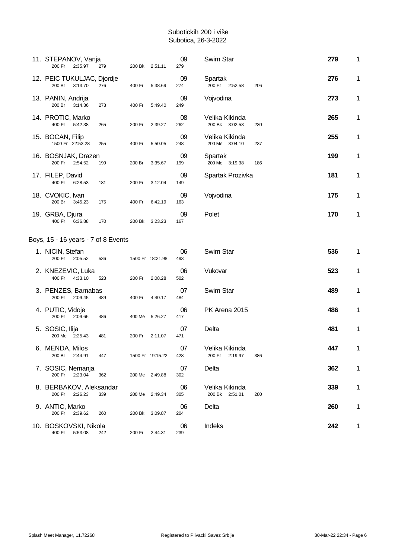| 11. STEPANOV, Vanja<br>200 Fr<br>2:35.97        | 279 | 200 Bk 2:51.11      |                                     | 09<br>279        | Swim Star                           |     | 279              | 1 |
|-------------------------------------------------|-----|---------------------|-------------------------------------|------------------|-------------------------------------|-----|------------------|---|
| 12. PEIC TUKULJAC, Djordje<br>3:13.70<br>200 Br | 276 | 400 Fr              | 5:38.69                             | 09<br>274        | Spartak<br>200 Fr 2:52.58           | 206 | 276              | 1 |
| 13. PANIN, Andrija<br>200 Br<br>3:14.36         | 273 | 400 Fr              | 5:49.40                             | 09<br>249        | Vojvodina                           |     | 273              | 1 |
| 14. PROTIC, Marko<br>400 Fr<br>5:42.38          | 265 | 200 Fr              | 2:39.27                             | 08<br>262        | Velika Kikinda<br>200 Bk 3:02.53    | 230 | 265              | 1 |
| 15. BOCAN, Filip<br>1500 Fr 22:53.28            | 255 | 400 Fr              | 5:50.05                             | 09<br>248        | Velika Kikinda<br>200 Me 3:04.10    | 237 | 255              | 1 |
| 200 Fr<br>2:54.52                               | 199 | 200 Br              | 3:35.67                             | 09<br>199        | Spartak<br>200 Me 3:19.38           | 186 | 199              | 1 |
| 17. FILEP, David<br>400 Fr<br>6:28.53           | 181 | 200 Fr              | 3:12.04                             | 09<br>149        |                                     |     | 181              | 1 |
| 18. CVOKIC, Ivan<br>200 Br<br>3:45.23           | 175 | 400 Fr              | 6:42.19                             | 09<br>163        | Vojvodina                           |     | 175              | 1 |
| 19. GRBA, Djura<br>400 Fr<br>6:36.88            | 170 | 200 Bk              | 3:23.23                             | 09<br>167        | Polet                               |     | 170              | 1 |
|                                                 |     |                     |                                     |                  |                                     |     |                  |   |
| 1. NICIN, Stefan<br>200 Fr<br>2:05.52           | 536 |                     |                                     | 06<br>493        | Swim Star                           |     | 536              | 1 |
| 2. KNEZEVIC, Luka<br>400 Fr<br>4:33.10          | 523 | 200 Fr              | 2:08.28                             | 06               | Vukovar                             |     | 523              | 1 |
|                                                 |     |                     |                                     | 502              |                                     |     |                  |   |
| 3. PENZES, Barnabas<br>200 Fr<br>2:09.45        | 489 | 400 Fr              | 4:40.17                             | 07<br>484        | Swim Star                           |     | 489              | 1 |
| 4. PUTIC, Vidoje<br>200 Fr<br>2:09.66           | 486 | 400 Me              | 5:26.27                             | 06<br>417        | PK Arena 2015                       |     | 486              | 1 |
| 5. SOSIC, Ilija<br>200 Me 2:25.43               | 481 | 200 Fr              | 2:11.07                             | 07<br>471        | Delta                               |     | 481              | 1 |
| 6. MENDA, Milos<br>200 Br 2:44.91               | 447 |                     | 1500 Fr 19:15.22                    | 07<br>428        | Velika Kikinda<br>200 Fr<br>2:19.97 | 386 | 447              | 1 |
| 7. SOSIC, Nemanja<br>200 Fr 2:23.04             | 362 | 200 Me 2:49.88      |                                     | 07<br>302        | Delta                               |     | 362              | 1 |
| 8. BERBAKOV, Aleksandar<br>200 Fr<br>2:26.23    | 339 | 200 Me 2:49.34      |                                     | 06<br>305        | Velika Kikinda<br>200 Bk 2:51.01    | 280 | 339              | 1 |
| 9. ANTIC, Marko<br>200 Fr<br>2:39.62            | 260 | 200 Bk              | 3:09.87                             | 06<br>204        | Delta                               |     | 260              | 1 |
|                                                 |     | 16. BOSNJAK, Drazen | Boys, 15 - 16 years - 7 of 8 Events | 1500 Fr 18:21.98 |                                     |     | Spartak Prozivka |   |